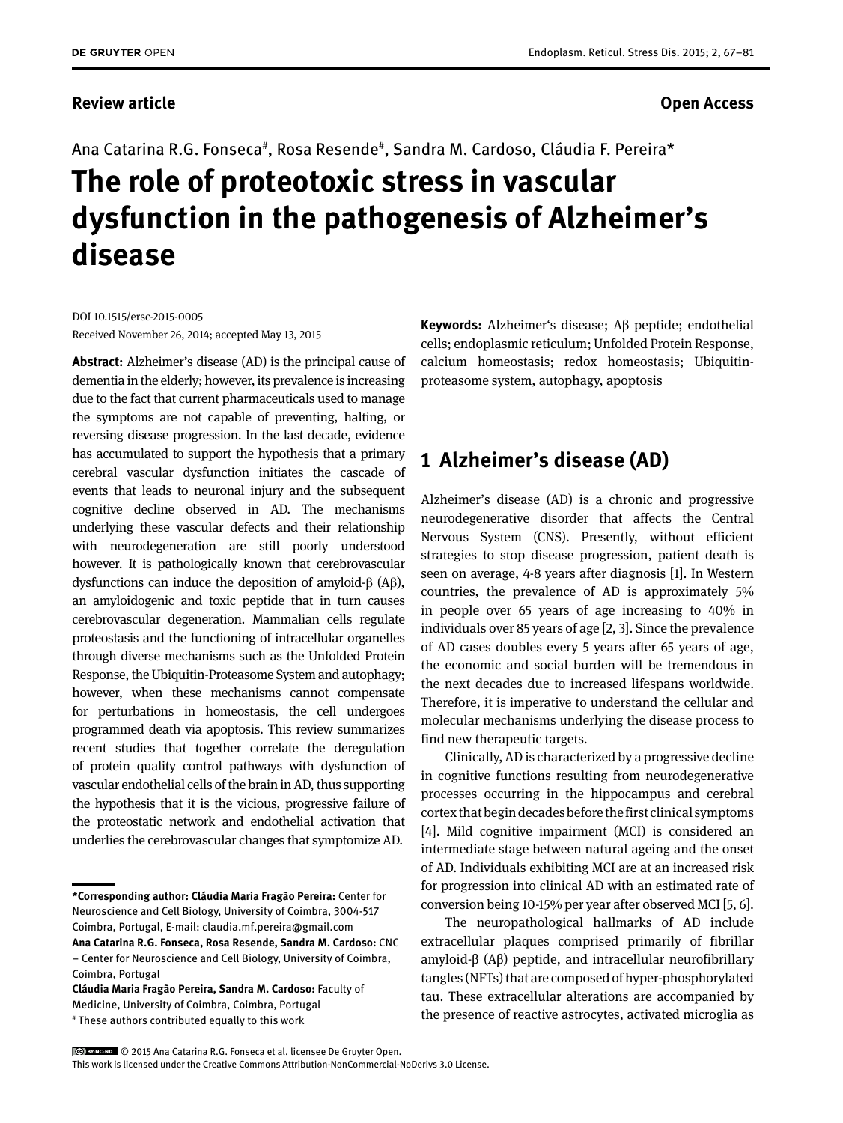#### **Review article Contracts Contracts and Access** Contracts Contracts Contracts Contracts Contracts Contracts Contracts Contracts Contracts Contracts Contracts Contracts Contracts Contracts Contracts Contracts Contracts Cont

Ana Catarina R.G. Fonseca#, Rosa Resende#, Sandra M. Cardoso, Cláudia F. Pereira\*

# **The role of proteotoxic stress in vascular dysfunction in the pathogenesis of Alzheimer's disease**

DOI 10.1515/ersc-2015-0005 Received November 26, 2014; accepted May 13, 2015

**Abstract:** Alzheimer's disease (AD) is the principal cause of dementia in the elderly; however, its prevalence is increasing due to the fact that current pharmaceuticals used to manage the symptoms are not capable of preventing, halting, or reversing disease progression. In the last decade, evidence has accumulated to support the hypothesis that a primary cerebral vascular dysfunction initiates the cascade of events that leads to neuronal injury and the subsequent cognitive decline observed in AD. The mechanisms underlying these vascular defects and their relationship with neurodegeneration are still poorly understood however. It is pathologically known that cerebrovascular dysfunctions can induce the deposition of amyloid-β (Aβ), an amyloidogenic and toxic peptide that in turn causes cerebrovascular degeneration. Mammalian cells regulate proteostasis and the functioning of intracellular organelles through diverse mechanisms such as the Unfolded Protein Response, the Ubiquitin-Proteasome System and autophagy; however, when these mechanisms cannot compensate for perturbations in homeostasis, the cell undergoes programmed death via apoptosis. This review summarizes recent studies that together correlate the deregulation of protein quality control pathways with dysfunction of vascular endothelial cells of the brain in AD, thus supporting the hypothesis that it is the vicious, progressive failure of the proteostatic network and endothelial activation that underlies the cerebrovascular changes that symptomize AD.

**Keywords:** Alzheimer's disease; Aβ peptide; endothelial cells; endoplasmic reticulum; Unfolded Protein Response, calcium homeostasis; redox homeostasis; Ubiquitinproteasome system, autophagy, apoptosis

## **1 Alzheimer's disease (AD)**

Alzheimer's disease (AD) is a chronic and progressive neurodegenerative disorder that affects the Central Nervous System (CNS). Presently, without efficient strategies to stop disease progression, patient death is seen on average, 4-8 years after diagnosis [1]. In Western countries, the prevalence of AD is approximately 5% in people over 65 years of age increasing to 40% in individuals over 85 years of age [2, 3]. Since the prevalence of AD cases doubles every 5 years after 65 years of age, the economic and social burden will be tremendous in the next decades due to increased lifespans worldwide. Therefore, it is imperative to understand the cellular and molecular mechanisms underlying the disease process to find new therapeutic targets.

Clinically, AD is characterized by a progressive decline in cognitive functions resulting from neurodegenerative processes occurring in the hippocampus and cerebral cortex that begin decades before the first clinical symptoms [4]. Mild cognitive impairment (MCI) is considered an intermediate stage between natural ageing and the onset of AD. Individuals exhibiting MCI are at an increased risk for progression into clinical AD with an estimated rate of conversion being 10-15% per year after observed MCI [5, 6].

The neuropathological hallmarks of AD include extracellular plaques comprised primarily of fibrillar amyloid-β (Aβ) peptide, and intracellular neurofibrillary tangles (NFTs) that are composed of hyper-phosphorylated tau. These extracellular alterations are accompanied by the presence of reactive astrocytes, activated microglia as

**<sup>\*</sup>Corresponding author: Cláudia Maria Fragão Pereira:** Center for Neuroscience and Cell Biology, University of Coimbra, 3004-517 Coimbra, Portugal, E-mail: claudia.mf.pereira@gmail.com **Ana Catarina R.G. Fonseca, Rosa Resende, Sandra M. Cardoso:** CNC – Center for Neuroscience and Cell Biology, University of Coimbra,

Coimbra, Portugal

**Cláudia Maria Fragão Pereira, Sandra M. Cardoso:** Faculty of Medicine, University of Coimbra, Coimbra, Portugal # These authors contributed equally to this work

<sup>© 2015</sup> Ana Catarina R.G. Fonseca et al. licensee De Gruyter Open.

This work is licensed under the Creative Commons Attribution-NonCommercial-NoDerivs 3.0 License.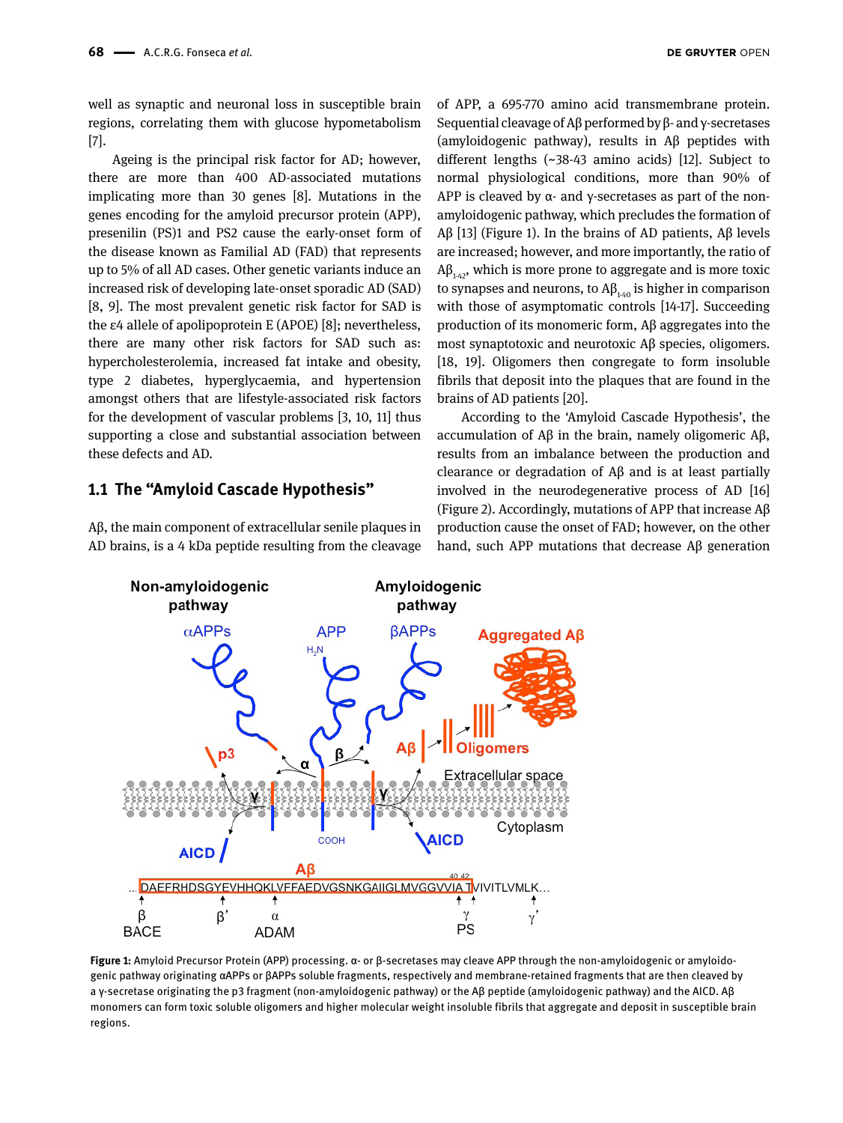DE GRUYTER OPEN

well as synaptic and neuronal loss in susceptible brain regions, correlating them with glucose hypometabolism [7].

Ageing is the principal risk factor for AD; however, there are more than 400 AD-associated mutations implicating more than 30 genes [8]. Mutations in the genes encoding for the amyloid precursor protein (APP), presenilin (PS)1 and PS2 cause the early-onset form of the disease known as Familial AD (FAD) that represents up to 5% of all AD cases. Other genetic variants induce an increased risk of developing late-onset sporadic AD (SAD) [8, 9]. The most prevalent genetic risk factor for SAD is the ε4 allele of apolipoprotein E (APOE) [8]; nevertheless, there are many other risk factors for SAD such as: hypercholesterolemia, increased fat intake and obesity, type 2 diabetes, hyperglycaemia, and hypertension amongst others that are lifestyle-associated risk factors for the development of vascular problems [3, 10, 11] thus supporting a close and substantial association between these defects and AD.

#### **1.1 The "Amyloid Cascade Hypothesis"**

Aβ, the main component of extracellular senile plaques in AD brains, is a 4 kDa peptide resulting from the cleavage of APP, a 695-770 amino acid transmembrane protein. Sequential cleavage of Aβ performed by β- and γ-secretases (amyloidogenic pathway), results in Aβ peptides with different lengths (~38-43 amino acids) [12]. Subject to normal physiological conditions, more than 90% of APP is cleaved by  $\alpha$ - and y-secretases as part of the nonamyloidogenic pathway, which precludes the formation of Aβ [13] (Figure 1). In the brains of AD patients, Aβ levels are increased; however, and more importantly, the ratio of  $A\beta_{142}$ , which is more prone to aggregate and is more toxic to synapses and neurons, to  $A\beta_{1/40}$  is higher in comparison with those of asymptomatic controls [14-17]. Succeeding production of its monomeric form, Aβ aggregates into the most synaptotoxic and neurotoxic Aβ species, oligomers. [18, 19]. Oligomers then congregate to form insoluble fibrils that deposit into the plaques that are found in the brains of AD patients [20].

According to the 'Amyloid Cascade Hypothesis', the accumulation of Aβ in the brain, namely oligomeric Aβ, results from an imbalance between the production and clearance or degradation of Aβ and is at least partially involved in the neurodegenerative process of AD [16] (Figure 2). Accordingly, mutations of APP that increase Aβ production cause the onset of FAD; however, on the other hand, such APP mutations that decrease Aβ generation



**Figure 1:** Amyloid Precursor Protein (APP) processing. α- or β-secretases may cleave APP through the non-amyloidogenic or amyloidogenic pathway originating αAPPs or βAPPs soluble fragments, respectively and membrane-retained fragments that are then cleaved by a γ-secretase originating the p3 fragment (non-amyloidogenic pathway) or the Aβ peptide (amyloidogenic pathway) and the AICD. Aβ monomers can form toxic soluble oligomers and higher molecular weight insoluble fibrils that aggregate and deposit in susceptible brain regions.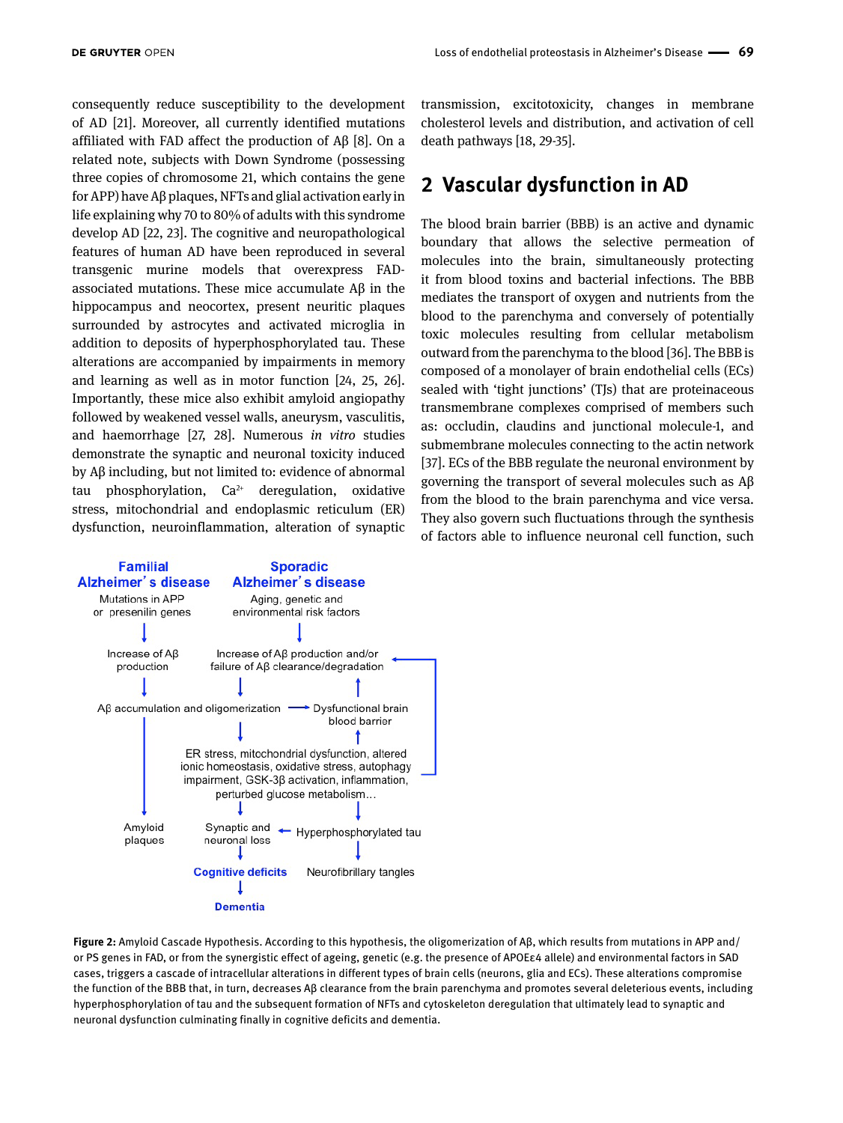consequently reduce susceptibility to the development of AD [21]. Moreover, all currently identified mutations affiliated with FAD affect the production of Aβ [8]. On a related note, subjects with Down Syndrome (possessing three copies of chromosome 21, which contains the gene for APP) have Aβ plaques, NFTs and glial activation early in life explaining why 70 to 80% of adults with this syndrome develop AD [22, 23]. The cognitive and neuropathological features of human AD have been reproduced in several transgenic murine models that overexpress FADassociated mutations. These mice accumulate Aβ in the hippocampus and neocortex, present neuritic plaques surrounded by astrocytes and activated microglia in addition to deposits of hyperphosphorylated tau. These alterations are accompanied by impairments in memory and learning as well as in motor function [24, 25, 26]. Importantly, these mice also exhibit amyloid angiopathy followed by weakened vessel walls, aneurysm, vasculitis, and haemorrhage [27, 28]. Numerous *in vitro* studies demonstrate the synaptic and neuronal toxicity induced by Aβ including, but not limited to: evidence of abnormal tau phosphorylation,  $Ca^{2+}$  deregulation, oxidative stress, mitochondrial and endoplasmic reticulum (ER) dysfunction, neuroinflammation, alteration of synaptic transmission, excitotoxicity, changes in membrane cholesterol levels and distribution, and activation of cell death pathways [18, 29-35].

# **2 Vascular dysfunction in AD**

The blood brain barrier (BBB) is an active and dynamic boundary that allows the selective permeation of molecules into the brain, simultaneously protecting it from blood toxins and bacterial infections. The BBB mediates the transport of oxygen and nutrients from the blood to the parenchyma and conversely of potentially toxic molecules resulting from cellular metabolism outward from the parenchyma to the blood [36]. The BBB is composed of a monolayer of brain endothelial cells (ECs) sealed with 'tight junctions' (TJs) that are proteinaceous transmembrane complexes comprised of members such as: occludin, claudins and junctional molecule-1, and submembrane molecules connecting to the actin network [37]. ECs of the BBB regulate the neuronal environment by governing the transport of several molecules such as Aβ from the blood to the brain parenchyma and vice versa. They also govern such fluctuations through the synthesis of factors able to influence neuronal cell function, such



**Figure 2:** Amyloid Cascade Hypothesis. According to this hypothesis, the oligomerization of Aβ, which results from mutations in APP and/ or PS genes in FAD, or from the synergistic effect of ageing, genetic (e.g. the presence of APOEε4 allele) and environmental factors in SAD cases, triggers a cascade of intracellular alterations in different types of brain cells (neurons, glia and ECs). These alterations compromise the function of the BBB that, in turn, decreases Aβ clearance from the brain parenchyma and promotes several deleterious events, including hyperphosphorylation of tau and the subsequent formation of NFTs and cytoskeleton deregulation that ultimately lead to synaptic and neuronal dysfunction culminating finally in cognitive deficits and dementia.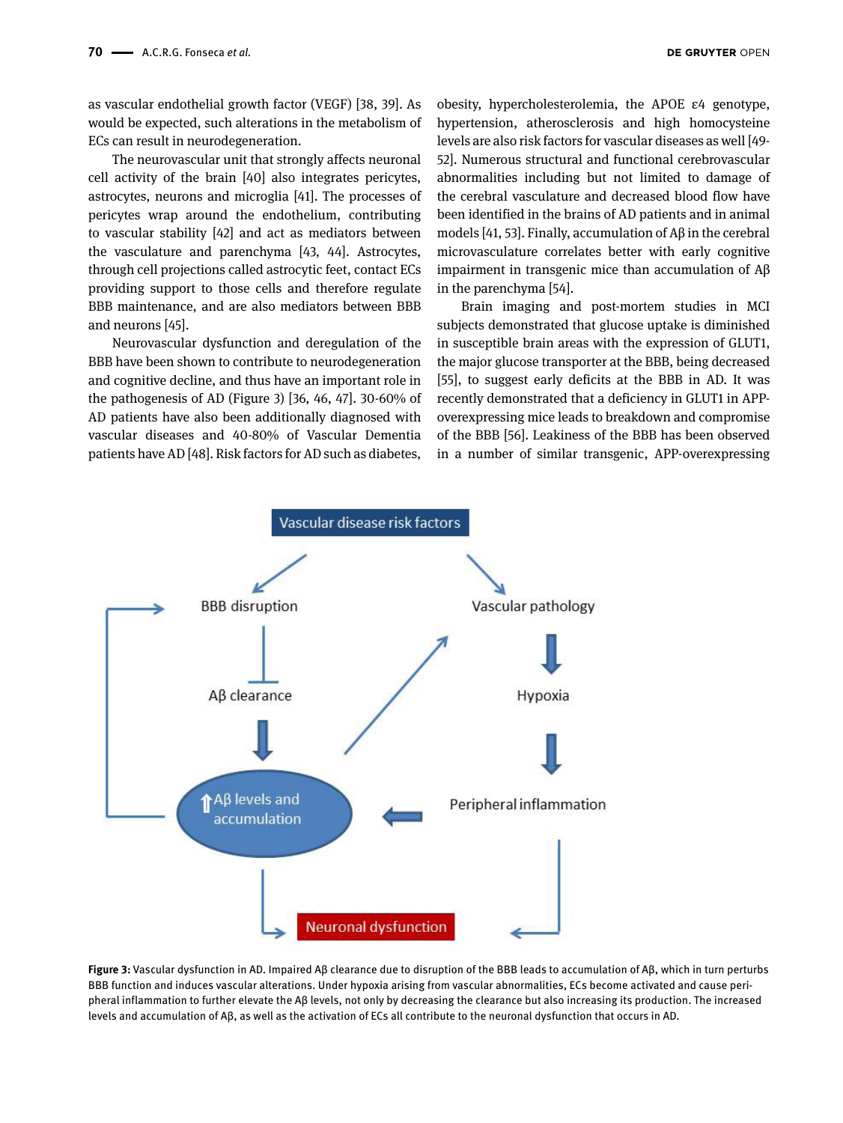as vascular endothelial growth factor (VEGF) [38, 39]. As would be expected, such alterations in the metabolism of ECs can result in neurodegeneration.

The neurovascular unit that strongly affects neuronal cell activity of the brain [40] also integrates pericytes, astrocytes, neurons and microglia [41]. The processes of pericytes wrap around the endothelium, contributing to vascular stability [42] and act as mediators between the vasculature and parenchyma [43, 44]. Astrocytes, through cell projections called astrocytic feet, contact ECs providing support to those cells and therefore regulate BBB maintenance, and are also mediators between BBB and neurons [45].

Neurovascular dysfunction and deregulation of the BBB have been shown to contribute to neurodegeneration and cognitive decline, and thus have an important role in the pathogenesis of AD (Figure 3) [36, 46, 47]. 30-60% of AD patients have also been additionally diagnosed with vascular diseases and 40-80% of Vascular Dementia patients have AD [48]. Risk factors for AD such as diabetes,

obesity, hypercholesterolemia, the APOE ε4 genotype, hypertension, atherosclerosis and high homocysteine levels are also risk factors for vascular diseases as well [49- 52]. Numerous structural and functional cerebrovascular abnormalities including but not limited to damage of the cerebral vasculature and decreased blood flow have been identified in the brains of AD patients and in animal models [41, 53]. Finally, accumulation of Aβ in the cerebral microvasculature correlates better with early cognitive impairment in transgenic mice than accumulation of Aβ in the parenchyma [54].

Brain imaging and post-mortem studies in MCI subjects demonstrated that glucose uptake is diminished in susceptible brain areas with the expression of GLUT1, the major glucose transporter at the BBB, being decreased [55], to suggest early deficits at the BBB in AD. It was recently demonstrated that a deficiency in GLUT1 in APPoverexpressing mice leads to breakdown and compromise of the BBB [56]. Leakiness of the BBB has been observed in a number of similar transgenic, APP-overexpressing



**Figure 3:** Vascular dysfunction in AD. Impaired Aβ clearance due to disruption of the BBB leads to accumulation of Aβ, which in turn perturbs BBB function and induces vascular alterations. Under hypoxia arising from vascular abnormalities, ECs become activated and cause peripheral inflammation to further elevate the Aβ levels, not only by decreasing the clearance but also increasing its production. The increased levels and accumulation of Aβ, as well as the activation of ECs all contribute to the neuronal dysfunction that occurs in AD.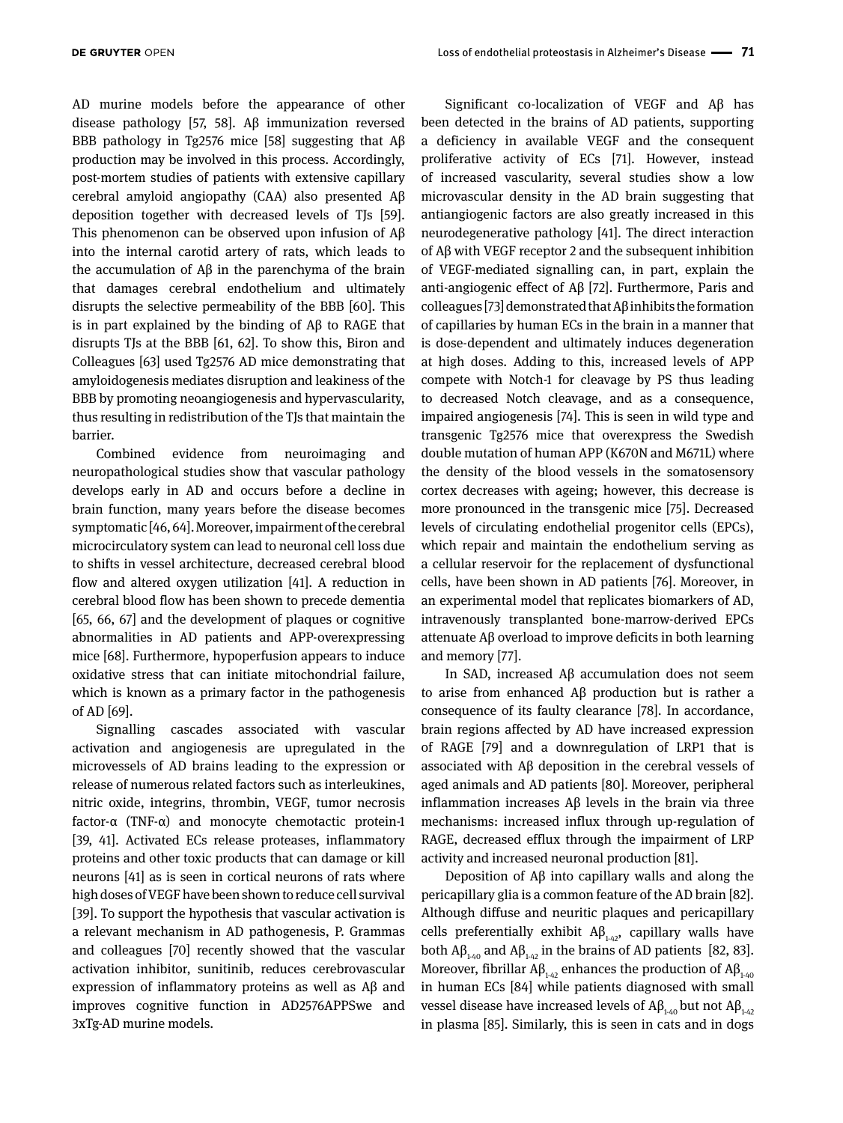AD murine models before the appearance of other disease pathology [57, 58]. Aβ immunization reversed BBB pathology in Tg2576 mice [58] suggesting that Aβ production may be involved in this process. Accordingly, post-mortem studies of patients with extensive capillary cerebral amyloid angiopathy (CAA) also presented Aβ deposition together with decreased levels of TJs [59]. This phenomenon can be observed upon infusion of Aβ into the internal carotid artery of rats, which leads to the accumulation of Aβ in the parenchyma of the brain that damages cerebral endothelium and ultimately disrupts the selective permeability of the BBB [60]. This is in part explained by the binding of Aβ to RAGE that disrupts TJs at the BBB [61, 62]. To show this, Biron and Colleagues [63] used Tg2576 AD mice demonstrating that amyloidogenesis mediates disruption and leakiness of the BBB by promoting neoangiogenesis and hypervascularity, thus resulting in redistribution of the TJs that maintain the barrier.

Combined evidence from neuroimaging and neuropathological studies show that vascular pathology develops early in AD and occurs before a decline in brain function, many years before the disease becomes symptomatic [46, 64]. Moreover, impairment of the cerebral microcirculatory system can lead to neuronal cell loss due to shifts in vessel architecture, decreased cerebral blood flow and altered oxygen utilization [41]. A reduction in cerebral blood flow has been shown to precede dementia [65, 66, 67] and the development of plaques or cognitive abnormalities in AD patients and APP-overexpressing mice [68]. Furthermore, hypoperfusion appears to induce oxidative stress that can initiate mitochondrial failure, which is known as a primary factor in the pathogenesis of AD [69].

Signalling cascades associated with vascular activation and angiogenesis are upregulated in the microvessels of AD brains leading to the expression or release of numerous related factors such as interleukines, nitric oxide, integrins, thrombin, VEGF, tumor necrosis factor-α (TNF-α) and monocyte chemotactic protein-1 [39, 41]. Activated ECs release proteases, inflammatory proteins and other toxic products that can damage or kill neurons [41] as is seen in cortical neurons of rats where high doses of VEGF have been shown to reduce cell survival [39]. To support the hypothesis that vascular activation is a relevant mechanism in AD pathogenesis, P. Grammas and colleagues [70] recently showed that the vascular activation inhibitor, sunitinib, reduces cerebrovascular expression of inflammatory proteins as well as Aβ and improves cognitive function in AD2576APPSwe and 3xTg-AD murine models.

Significant co-localization of VEGF and Aβ has been detected in the brains of AD patients, supporting a deficiency in available VEGF and the consequent proliferative activity of ECs [71]. However, instead of increased vascularity, several studies show a low microvascular density in the AD brain suggesting that antiangiogenic factors are also greatly increased in this neurodegenerative pathology [41]. The direct interaction of Aβ with VEGF receptor 2 and the subsequent inhibition of VEGF-mediated signalling can, in part, explain the anti-angiogenic effect of Aβ [72]. Furthermore, Paris and colleagues [73] demonstrated that Aβ inhibits the formation of capillaries by human ECs in the brain in a manner that is dose-dependent and ultimately induces degeneration at high doses. Adding to this, increased levels of APP compete with Notch-1 for cleavage by PS thus leading to decreased Notch cleavage, and as a consequence, impaired angiogenesis [74]. This is seen in wild type and transgenic Tg2576 mice that overexpress the Swedish double mutation of human APP (K670N and M671L) where the density of the blood vessels in the somatosensory cortex decreases with ageing; however, this decrease is more pronounced in the transgenic mice [75]. Decreased levels of circulating endothelial progenitor cells (EPCs), which repair and maintain the endothelium serving as a cellular reservoir for the replacement of dysfunctional cells, have been shown in AD patients [76]. Moreover, in an experimental model that replicates biomarkers of AD, intravenously transplanted bone-marrow-derived EPCs attenuate Aβ overload to improve deficits in both learning and memory [77].

In SAD, increased Aβ accumulation does not seem to arise from enhanced Aβ production but is rather a consequence of its faulty clearance [78]. In accordance, brain regions affected by AD have increased expression of RAGE [79] and a downregulation of LRP1 that is associated with Aβ deposition in the cerebral vessels of aged animals and AD patients [80]. Moreover, peripheral inflammation increases Aβ levels in the brain via three mechanisms: increased influx through up-regulation of RAGE, decreased efflux through the impairment of LRP activity and increased neuronal production [81].

Deposition of Aβ into capillary walls and along the pericapillary glia is a common feature of the AD brain [82]. Although diffuse and neuritic plaques and pericapillary cells preferentially exhibit  $\mathsf{A}\beta_{14}$ , capillary walls have both  $\mathsf{A}\beta_{1\text{-}40}$  and  $\mathsf{A}\beta_{1\text{-}42}$  in the brains of AD patients [82, 83]. Moreover, fibrillar  $A\beta_{1\cdot42}$  enhances the production of  $A\beta_{1\cdot40}$ in human ECs [84] while patients diagnosed with small vessel disease have increased levels of  $\mathsf{AB}_{1\cdot 40}$  but not  $\mathsf{AB}_{1\cdot 42}$ in plasma [85]. Similarly, this is seen in cats and in dogs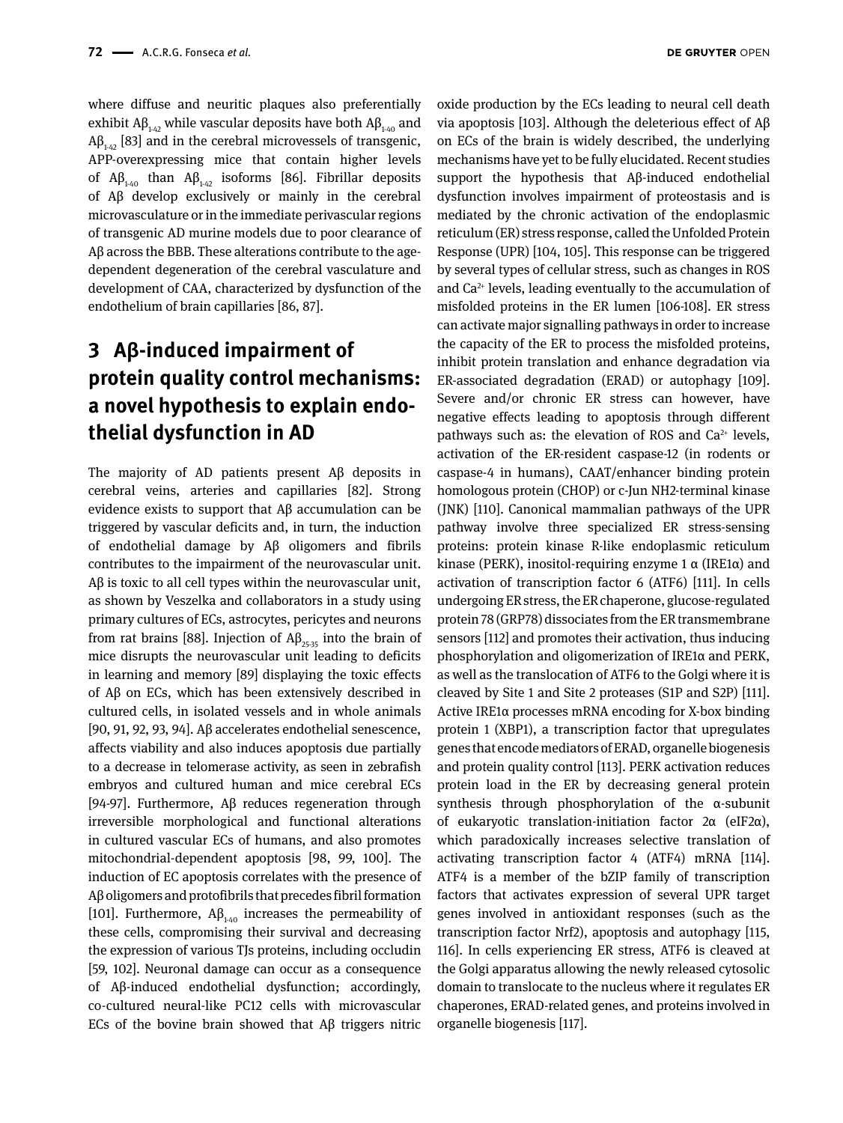where diffuse and neuritic plaques also preferentially exhibit  $\mathsf{AB}_{1-42}$  while vascular deposits have both  $\mathsf{AB}_{1-40}$  and  $Aβ<sub>1-42</sub>$  [83] and in the cerebral microvessels of transgenic, APP-overexpressing mice that contain higher levels of  $A\beta_{140}$  than  $A\beta_{142}$  isoforms [86]. Fibrillar deposits of Aβ develop exclusively or mainly in the cerebral microvasculature or in the immediate perivascular regions of transgenic AD murine models due to poor clearance of Aβ across the BBB. These alterations contribute to the agedependent degeneration of the cerebral vasculature and development of CAA, characterized by dysfunction of the endothelium of brain capillaries [86, 87].

# **3 Aβ-induced impairment of protein quality control mechanisms: a novel hypothesis to explain endothelial dysfunction in AD**

The majority of AD patients present Aβ deposits in cerebral veins, arteries and capillaries [82]. Strong evidence exists to support that Aβ accumulation can be triggered by vascular deficits and, in turn, the induction of endothelial damage by Aβ oligomers and fibrils contributes to the impairment of the neurovascular unit. Aβ is toxic to all cell types within the neurovascular unit, as shown by Veszelka and collaborators in a study using primary cultures of ECs, astrocytes, pericytes and neurons from rat brains [88]. Injection of  $Aβ_{25,35}$  into the brain of mice disrupts the neurovascular unit leading to deficits in learning and memory [89] displaying the toxic effects of Aβ on ECs, which has been extensively described in cultured cells, in isolated vessels and in whole animals [90, 91, 92, 93, 94]. Aβ accelerates endothelial senescence, affects viability and also induces apoptosis due partially to a decrease in telomerase activity, as seen in zebrafish embryos and cultured human and mice cerebral ECs [94-97]. Furthermore, Aβ reduces regeneration through irreversible morphological and functional alterations in cultured vascular ECs of humans, and also promotes mitochondrial-dependent apoptosis [98, 99, 100]. The induction of EC apoptosis correlates with the presence of Aβ oligomers and protofibrils that precedes fibril formation [101]. Furthermore,  $A\beta_{140}$  increases the permeability of these cells, compromising their survival and decreasing the expression of various TJs proteins, including occludin [59, 102]. Neuronal damage can occur as a consequence of Aβ-induced endothelial dysfunction; accordingly, co-cultured neural-like PC12 cells with microvascular ECs of the bovine brain showed that Aβ triggers nitric

oxide production by the ECs leading to neural cell death via apoptosis [103]. Although the deleterious effect of Aβ on ECs of the brain is widely described, the underlying mechanisms have yet to be fully elucidated. Recent studies support the hypothesis that Aβ-induced endothelial dysfunction involves impairment of proteostasis and is mediated by the chronic activation of the endoplasmic reticulum (ER) stress response, called the Unfolded Protein Response (UPR) [104, 105]. This response can be triggered by several types of cellular stress, such as changes in ROS and Ca2+ levels, leading eventually to the accumulation of misfolded proteins in the ER lumen [106-108]. ER stress can activate major signalling pathways in order to increase the capacity of the ER to process the misfolded proteins, inhibit protein translation and enhance degradation via ER-associated degradation (ERAD) or autophagy [109]. Severe and/or chronic ER stress can however, have negative effects leading to apoptosis through different pathways such as: the elevation of ROS and  $Ca<sup>2+</sup>$  levels, activation of the ER-resident caspase-12 (in rodents or caspase-4 in humans), CAAT/enhancer binding protein homologous protein (CHOP) or c-Jun NH2-terminal kinase (JNK) [110]. Canonical mammalian pathways of the UPR pathway involve three specialized ER stress-sensing proteins: protein kinase R-like endoplasmic reticulum kinase (PERK), inositol-requiring enzyme 1  $\alpha$  (IRE1 $\alpha$ ) and activation of transcription factor 6 (ATF6) [111]. In cells undergoing ER stress, the ER chaperone, glucose-regulated protein 78 (GRP78) dissociates from the ER transmembrane sensors [112] and promotes their activation, thus inducing phosphorylation and oligomerization of IRE1α and PERK, as well as the translocation of ATF6 to the Golgi where it is cleaved by Site 1 and Site 2 proteases (S1P and S2P) [111]. Active IRE1α processes mRNA encoding for X-box binding protein 1 (XBP1), a transcription factor that upregulates genes that encode mediators of ERAD, organelle biogenesis and protein quality control [113]. PERK activation reduces protein load in the ER by decreasing general protein synthesis through phosphorylation of the α-subunit of eukaryotic translation-initiation factor 2α (eIF2α), which paradoxically increases selective translation of activating transcription factor 4 (ATF4) mRNA [114]. ATF4 is a member of the bZIP family of transcription factors that activates expression of several UPR target genes involved in antioxidant responses (such as the transcription factor Nrf2), apoptosis and autophagy [115, 116]. In cells experiencing ER stress, ATF6 is cleaved at the Golgi apparatus allowing the newly released cytosolic domain to translocate to the nucleus where it regulates ER chaperones, ERAD-related genes, and proteins involved in organelle biogenesis [117].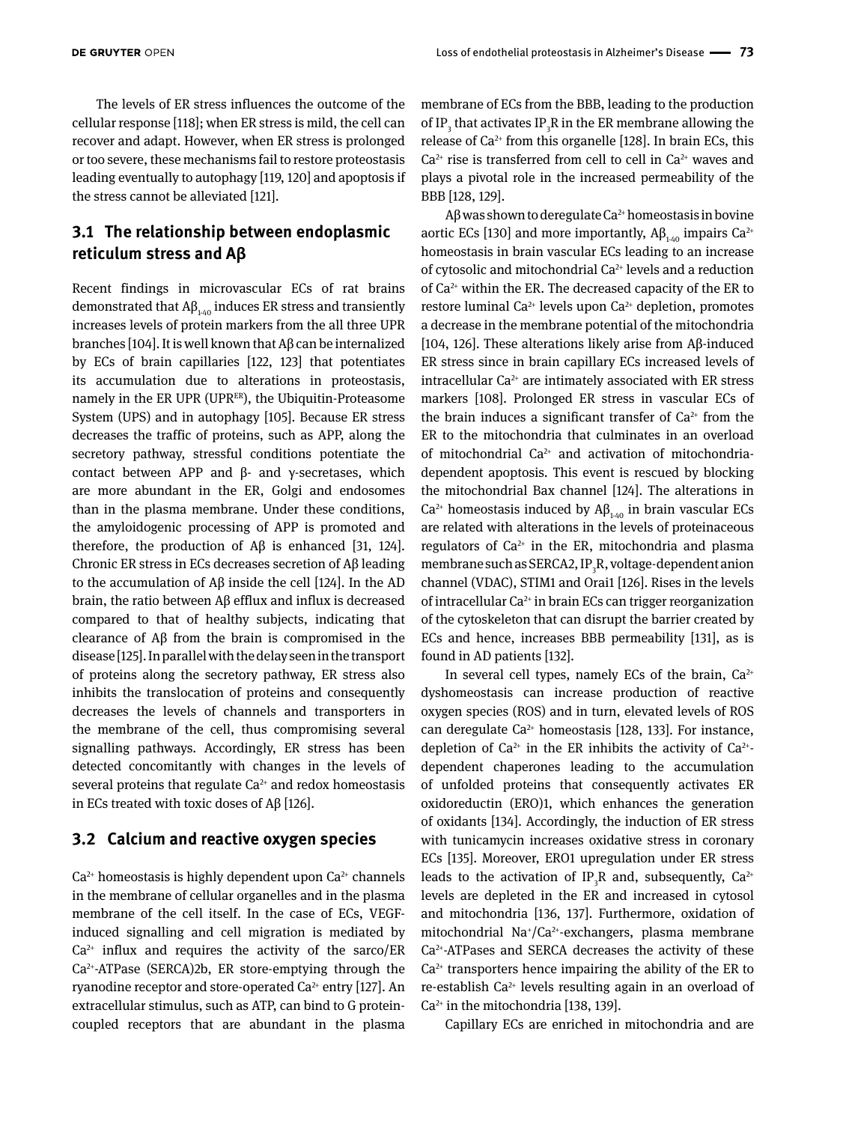The levels of ER stress influences the outcome of the cellular response [118]; when ER stress is mild, the cell can recover and adapt. However, when ER stress is prolonged or too severe, these mechanisms fail to restore proteostasis leading eventually to autophagy [119, 120] and apoptosis if the stress cannot be alleviated [121].

### **3.1 The relationship between endoplasmic reticulum stress and Aβ**

Recent findings in microvascular ECs of rat brains demonstrated that  $\mathsf{AB}_{1\text{-}40}$  induces ER stress and transiently increases levels of protein markers from the all three UPR branches [104]. It is well known that Aβ can be internalized by ECs of brain capillaries [122, 123] that potentiates its accumulation due to alterations in proteostasis, namely in the ER UPR (UPRER), the Ubiquitin-Proteasome System (UPS) and in autophagy [105]. Because ER stress decreases the traffic of proteins, such as APP, along the secretory pathway, stressful conditions potentiate the contact between APP and β- and γ-secretases, which are more abundant in the ER, Golgi and endosomes than in the plasma membrane. Under these conditions, the amyloidogenic processing of APP is promoted and therefore, the production of Aβ is enhanced [31, 124]. Chronic ER stress in ECs decreases secretion of Aβ leading to the accumulation of Aβ inside the cell [124]. In the AD brain, the ratio between Aβ efflux and influx is decreased compared to that of healthy subjects, indicating that clearance of Aβ from the brain is compromised in the disease [125]. In parallel with the delay seen in the transport of proteins along the secretory pathway, ER stress also inhibits the translocation of proteins and consequently decreases the levels of channels and transporters in the membrane of the cell, thus compromising several signalling pathways. Accordingly, ER stress has been detected concomitantly with changes in the levels of several proteins that regulate  $Ca<sup>2+</sup>$  and redox homeostasis in ECs treated with toxic doses of Aβ [126].

#### **3.2 Calcium and reactive oxygen species**

 $Ca<sup>2+</sup>$  homeostasis is highly dependent upon  $Ca<sup>2+</sup>$  channels in the membrane of cellular organelles and in the plasma membrane of the cell itself. In the case of ECs, VEGFinduced signalling and cell migration is mediated by  $Ca<sup>2+</sup>$  influx and requires the activity of the sarco/ER Ca2+-ATPase (SERCA)2b, ER store-emptying through the ryanodine receptor and store-operated Ca<sup>2+</sup> entry [127]. An extracellular stimulus, such as ATP, can bind to G proteincoupled receptors that are abundant in the plasma membrane of ECs from the BBB, leading to the production of IP<sub>3</sub> that activates IP<sub>3</sub>R in the ER membrane allowing the release of  $Ca^{2+}$  from this organelle [128]. In brain ECs, this  $Ca<sup>2+</sup>$  rise is transferred from cell to cell in  $Ca<sup>2+</sup>$  waves and plays a pivotal role in the increased permeability of the BBB [128, 129].

A $\beta$  was shown to deregulate Ca<sup>2+</sup> homeostasis in bovine aortic ECs [130] and more importantly,  $\mathsf{A}\beta_{1/40}$  impairs Ca<sup>2+</sup> homeostasis in brain vascular ECs leading to an increase of cytosolic and mitochondrial  $Ca^{2+}$  levels and a reduction of Ca2+ within the ER. The decreased capacity of the ER to restore luminal Ca<sup>2+</sup> levels upon Ca<sup>2+</sup> depletion, promotes a decrease in the membrane potential of the mitochondria [104, 126]. These alterations likely arise from Aβ-induced ER stress since in brain capillary ECs increased levels of intracellular  $Ca^{2+}$  are intimately associated with ER stress markers [108]. Prolonged ER stress in vascular ECs of the brain induces a significant transfer of  $Ca<sup>2+</sup>$  from the ER to the mitochondria that culminates in an overload of mitochondrial  $Ca^{2+}$  and activation of mitochondriadependent apoptosis. This event is rescued by blocking the mitochondrial Bax channel [124]. The alterations in  $Ca^{2+}$  homeostasis induced by  $AB_{1-40}$  in brain vascular ECs are related with alterations in the levels of proteinaceous regulators of  $Ca^{2+}$  in the ER, mitochondria and plasma membrane such as SERCA2, IP $_{\rm 3}$ R, voltage-dependent anion channel (VDAC), STIM1 and Orai1 [126]. Rises in the levels of intracellular  $Ca^{2+}$  in brain ECs can trigger reorganization of the cytoskeleton that can disrupt the barrier created by ECs and hence, increases BBB permeability [131], as is found in AD patients [132].

In several cell types, namely ECs of the brain,  $Ca^{2+}$ dyshomeostasis can increase production of reactive oxygen species (ROS) and in turn, elevated levels of ROS can deregulate  $Ca^{2+}$  homeostasis [128, 133]. For instance, depletion of  $Ca^{2+}$  in the ER inhibits the activity of  $Ca^{2+}$ dependent chaperones leading to the accumulation of unfolded proteins that consequently activates ER oxidoreductin (ERO)1, which enhances the generation of oxidants [134]. Accordingly, the induction of ER stress with tunicamycin increases oxidative stress in coronary ECs [135]. Moreover, ERO1 upregulation under ER stress leads to the activation of IP<sub>3</sub>R and, subsequently, Ca<sup>2+</sup> levels are depleted in the ER and increased in cytosol and mitochondria [136, 137]. Furthermore, oxidation of mitochondrial Na+/Ca2+-exchangers, plasma membrane  $Ca<sup>2+</sup>$ -ATPases and SERCA decreases the activity of these  $Ca<sup>2+</sup>$  transporters hence impairing the ability of the ER to re-establish Ca2+ levels resulting again in an overload of  $Ca<sup>2+</sup>$  in the mitochondria [138, 139].

Capillary ECs are enriched in mitochondria and are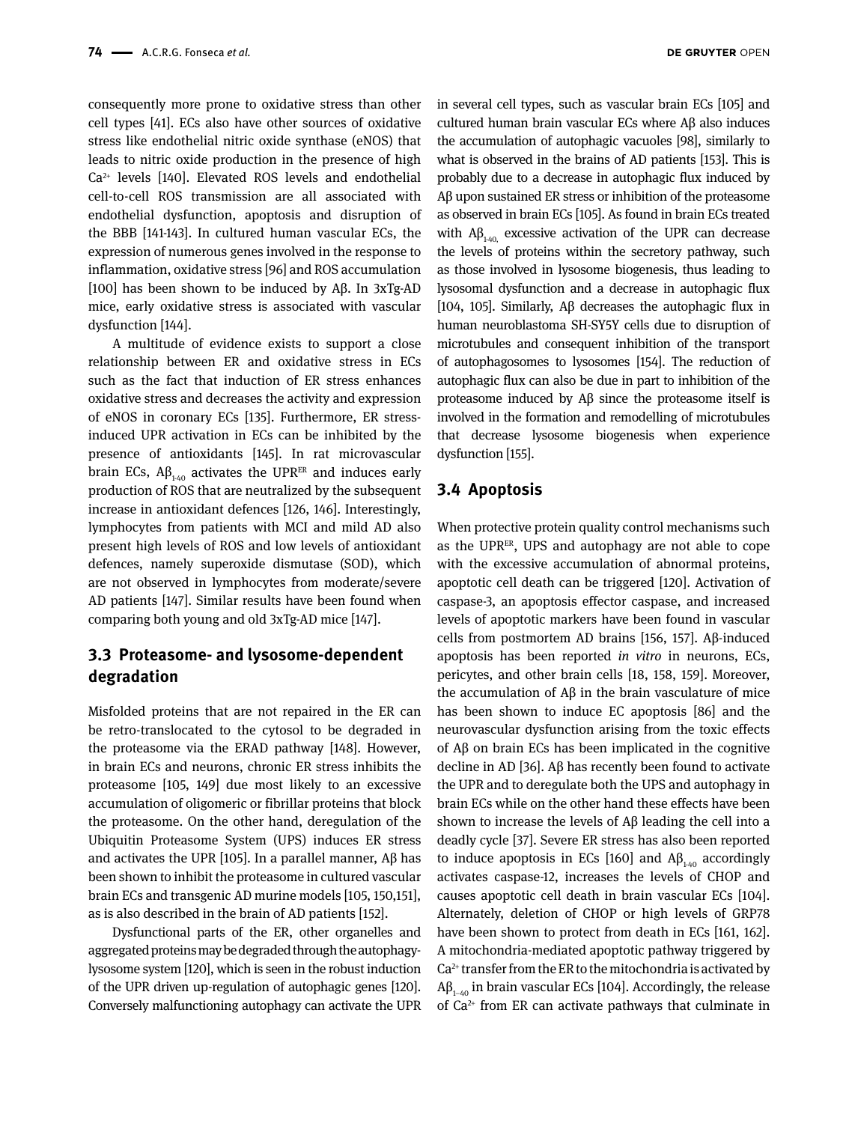consequently more prone to oxidative stress than other cell types [41]. ECs also have other sources of oxidative stress like endothelial nitric oxide synthase (eNOS) that leads to nitric oxide production in the presence of high Ca2+ levels [140]. Elevated ROS levels and endothelial cell-to-cell ROS transmission are all associated with endothelial dysfunction, apoptosis and disruption of the BBB [141-143]. In cultured human vascular ECs, the expression of numerous genes involved in the response to inflammation, oxidative stress [96] and ROS accumulation [100] has been shown to be induced by Aβ. In 3xTg-AD mice, early oxidative stress is associated with vascular dysfunction [144].

A multitude of evidence exists to support a close relationship between ER and oxidative stress in ECs such as the fact that induction of ER stress enhances oxidative stress and decreases the activity and expression of eNOS in coronary ECs [135]. Furthermore, ER stressinduced UPR activation in ECs can be inhibited by the presence of antioxidants [145]. In rat microvascular brain ECs,  $\mathsf{A}\beta_{1.40}$  activates the UPR<sup>ER</sup> and induces early production of ROS that are neutralized by the subsequent increase in antioxidant defences [126, 146]. Interestingly, lymphocytes from patients with MCI and mild AD also present high levels of ROS and low levels of antioxidant defences, namely superoxide dismutase (SOD), which are not observed in lymphocytes from moderate/severe AD patients [147]. Similar results have been found when comparing both young and old 3xTg-AD mice [147].

#### **3.3 Proteasome- and lysosome-dependent degradation**

Misfolded proteins that are not repaired in the ER can be retro-translocated to the cytosol to be degraded in the proteasome via the ERAD pathway [148]. However, in brain ECs and neurons, chronic ER stress inhibits the proteasome [105, 149] due most likely to an excessive accumulation of oligomeric or fibrillar proteins that block the proteasome. On the other hand, deregulation of the Ubiquitin Proteasome System (UPS) induces ER stress and activates the UPR [105]. In a parallel manner,  $Aβ$  has been shown to inhibit the proteasome in cultured vascular brain ECs and transgenic AD murine models [105, 150,151], as is also described in the brain of AD patients [152].

Dysfunctional parts of the ER, other organelles and aggregated proteins may be degraded through the autophagylysosome system [120], which is seen in the robust induction of the UPR driven up-regulation of autophagic genes [120]. Conversely malfunctioning autophagy can activate the UPR in several cell types, such as vascular brain ECs [105] and cultured human brain vascular ECs where Aβ also induces the accumulation of autophagic vacuoles [98], similarly to what is observed in the brains of AD patients [153]. This is probably due to a decrease in autophagic flux induced by Aβ upon sustained ER stress or inhibition of the proteasome as observed in brain ECs [105]. As found in brain ECs treated with  $Aβ_{140}$  excessive activation of the UPR can decrease the levels of proteins within the secretory pathway, such as those involved in lysosome biogenesis, thus leading to lysosomal dysfunction and a decrease in autophagic flux [104, 105]. Similarly, Aβ decreases the autophagic flux in human neuroblastoma SH-SY5Y cells due to disruption of microtubules and consequent inhibition of the transport of autophagosomes to lysosomes [154]. The reduction of autophagic flux can also be due in part to inhibition of the proteasome induced by Aβ since the proteasome itself is involved in the formation and remodelling of microtubules that decrease lysosome biogenesis when experience dysfunction [155].

#### **3.4 Apoptosis**

When protective protein quality control mechanisms such as the UPR<sup>ER</sup>, UPS and autophagy are not able to cope with the excessive accumulation of abnormal proteins, apoptotic cell death can be triggered [120]. Activation of caspase-3, an apoptosis effector caspase, and increased levels of apoptotic markers have been found in vascular cells from postmortem AD brains [156, 157]. Aβ-induced apoptosis has been reported *in vitro* in neurons, ECs, pericytes, and other brain cells [18, 158, 159]. Moreover, the accumulation of Aβ in the brain vasculature of mice has been shown to induce EC apoptosis [86] and the neurovascular dysfunction arising from the toxic effects of Aβ on brain ECs has been implicated in the cognitive decline in AD [36]. Aβ has recently been found to activate the UPR and to deregulate both the UPS and autophagy in brain ECs while on the other hand these effects have been shown to increase the levels of Aβ leading the cell into a deadly cycle [37]. Severe ER stress has also been reported to induce apoptosis in ECs [160] and  $A\beta_{1/40}$  accordingly activates caspase-12, increases the levels of CHOP and causes apoptotic cell death in brain vascular ECs [104]. Alternately, deletion of CHOP or high levels of GRP78 have been shown to protect from death in ECs [161, 162]. A mitochondria-mediated apoptotic pathway triggered by  $Ca<sup>2+</sup>$  transfer from the ER to the mitochondria is activated by  $A\beta_{1-40}$  in brain vascular ECs [104]. Accordingly, the release of  $Ca^{2+}$  from ER can activate pathways that culminate in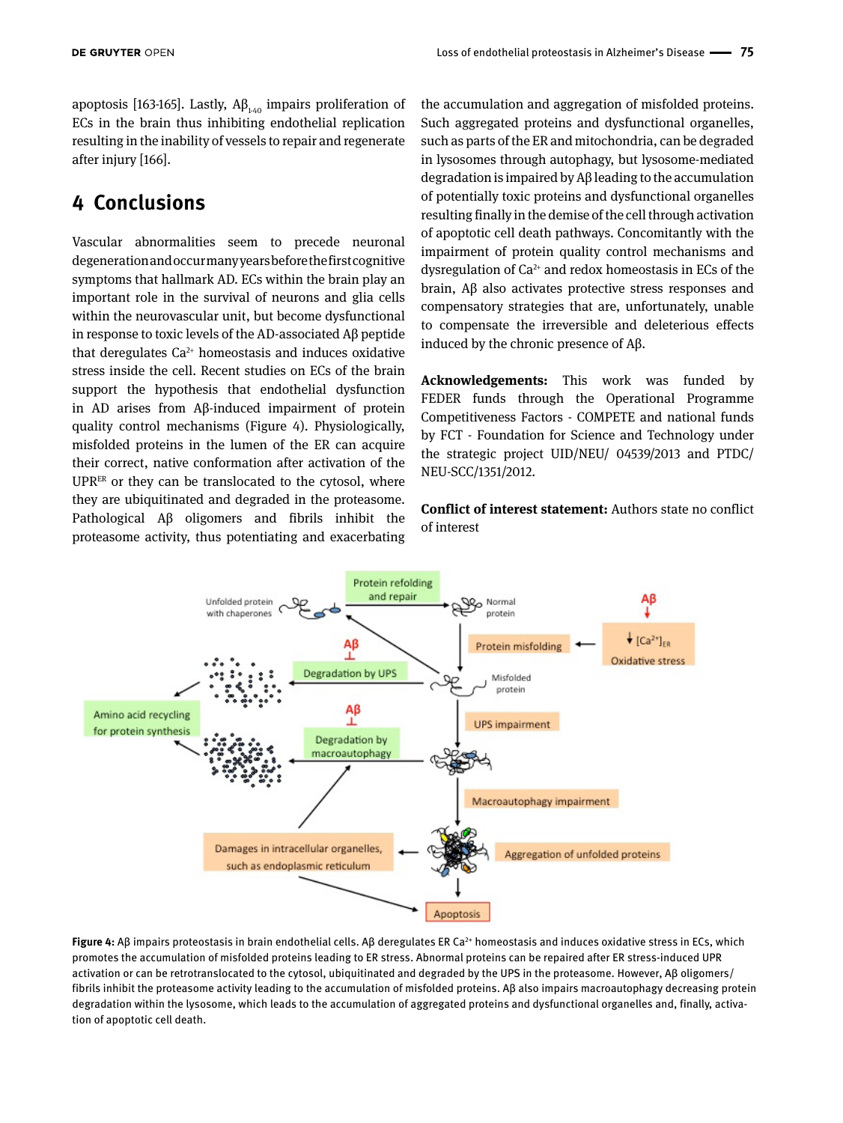apoptosis [163-165]. Lastly,  $AB$ <sub>1-40</sub> impairs proliferation of ECs in the brain thus inhibiting endothelial replication resulting in the inability of vessels to repair and regenerate after injury [166].

# **4 Conclusions**

Vascular abnormalities seem to precede neuronal degeneration and occur many years before the first cognitive symptoms that hallmark AD. ECs within the brain play an important role in the survival of neurons and glia cells within the neurovascular unit, but become dysfunctional in response to toxic levels of the AD-associated Aβ peptide that deregulates  $Ca^{2+}$  homeostasis and induces oxidative stress inside the cell. Recent studies on ECs of the brain support the hypothesis that endothelial dysfunction in AD arises from Aβ-induced impairment of protein quality control mechanisms (Figure 4). Physiologically, misfolded proteins in the lumen of the ER can acquire their correct, native conformation after activation of the UPRER or they can be translocated to the cytosol, where they are ubiquitinated and degraded in the proteasome. Pathological Aβ oligomers and fibrils inhibit the proteasome activity, thus potentiating and exacerbating the accumulation and aggregation of misfolded proteins. Such aggregated proteins and dysfunctional organelles, such as parts of the ER and mitochondria, can be degraded in lysosomes through autophagy, but lysosome-mediated degradation is impaired by Aβ leading to the accumulation of potentially toxic proteins and dysfunctional organelles resulting finally in the demise of the cell through activation of apoptotic cell death pathways. Concomitantly with the impairment of protein quality control mechanisms and dysregulation of  $Ca^{2+}$  and redox homeostasis in ECs of the brain, Aβ also activates protective stress responses and compensatory strategies that are, unfortunately, unable to compensate the irreversible and deleterious effects induced by the chronic presence of Aβ.

**Acknowledgements:** This work was funded by FEDER funds through the Operational Programme Competitiveness Factors - COMPETE and national funds by FCT - Foundation for Science and Technology under the strategic project UID/NEU/ 04539/2013 and PTDC/ NEU-SCC/1351/2012.

**Conflict of interest statement:** Authors state no conflict of interest



**Figure 4:** Aβ impairs proteostasis in brain endothelial cells. Aβ deregulates ER Ca2+ homeostasis and induces oxidative stress in ECs, which promotes the accumulation of misfolded proteins leading to ER stress. Abnormal proteins can be repaired after ER stress-induced UPR activation or can be retrotranslocated to the cytosol, ubiquitinated and degraded by the UPS in the proteasome. However, Aβ oligomers/ fibrils inhibit the proteasome activity leading to the accumulation of misfolded proteins. Aβ also impairs macroautophagy decreasing protein degradation within the lysosome, which leads to the accumulation of aggregated proteins and dysfunctional organelles and, finally, activation of apoptotic cell death.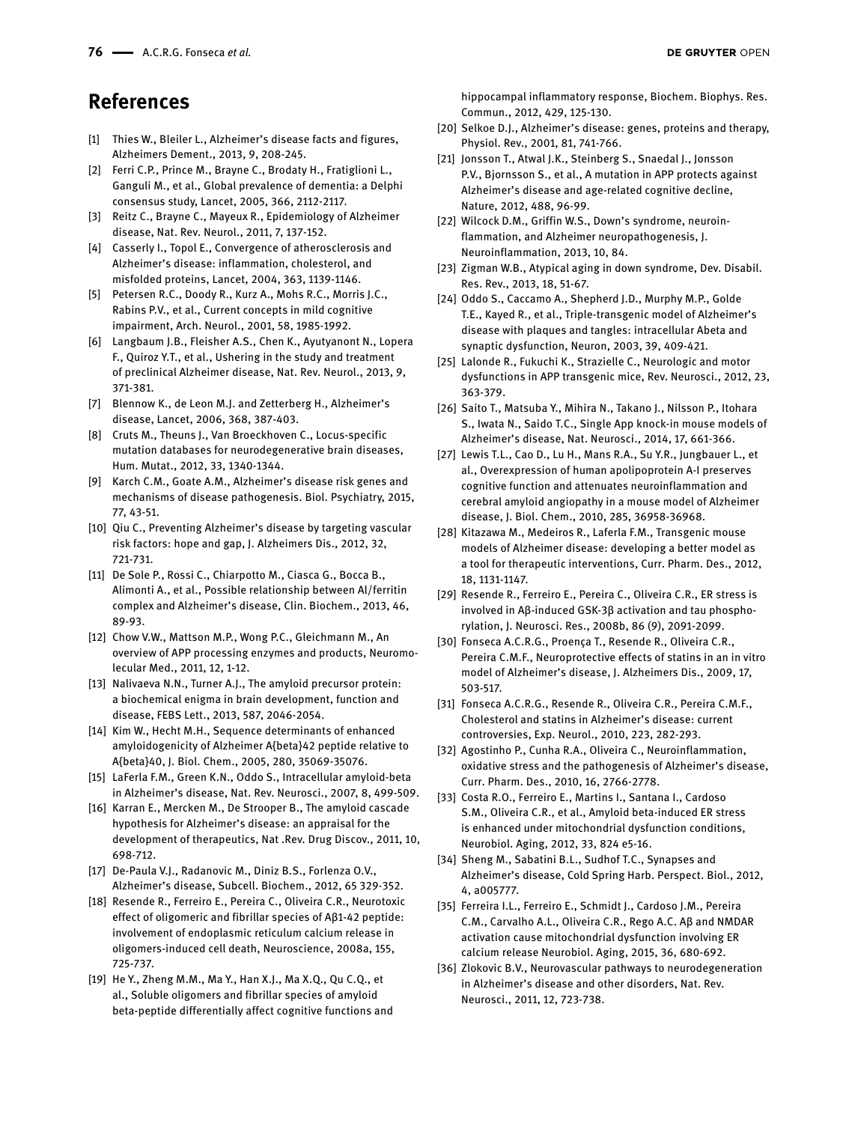# **References**

- [1] Thies W., Bleiler L., Alzheimer's disease facts and figures, Alzheimers Dement., 2013, 9, 208-245.
- [2] Ferri C.P., Prince M., Brayne C., Brodaty H., Fratiglioni L., Ganguli M., et al., Global prevalence of dementia: a Delphi consensus study, Lancet, 2005, 366, 2112-2117.
- [3] Reitz C., Brayne C., Mayeux R., Epidemiology of Alzheimer disease, Nat. Rev. Neurol., 2011, 7, 137-152.
- [4] Casserly I., Topol E., Convergence of atherosclerosis and Alzheimer's disease: inflammation, cholesterol, and misfolded proteins, Lancet, 2004, 363, 1139-1146.
- [5] Petersen R.C., Doody R., Kurz A., Mohs R.C., Morris J.C., Rabins P.V., et al., Current concepts in mild cognitive impairment, Arch. Neurol., 2001, 58, 1985-1992.
- [6] Langbaum J.B., Fleisher A.S., Chen K., Ayutyanont N., Lopera F., Quiroz Y.T., et al., Ushering in the study and treatment of preclinical Alzheimer disease, Nat. Rev. Neurol., 2013, 9, 371-381.
- [7] Blennow K., de Leon M.J. and Zetterberg H., Alzheimer's disease, Lancet, 2006, 368, 387-403.
- [8] Cruts M., Theuns J., Van Broeckhoven C., Locus-specific mutation databases for neurodegenerative brain diseases, Hum. Mutat., 2012, 33, 1340-1344.
- [9] Karch C.M., Goate A.M., Alzheimer's disease risk genes and mechanisms of disease pathogenesis. Biol. Psychiatry, 2015, 77, 43-51.
- [10] Qiu C., Preventing Alzheimer's disease by targeting vascular risk factors: hope and gap, J. Alzheimers Dis., 2012, 32, 721-731.
- [11] De Sole P., Rossi C., Chiarpotto M., Ciasca G., Bocca B., Alimonti A., et al., Possible relationship between Al/ferritin complex and Alzheimer's disease, Clin. Biochem., 2013, 46, 89-93.
- [12] Chow V.W., Mattson M.P., Wong P.C., Gleichmann M., An overview of APP processing enzymes and products, Neuromolecular Med., 2011, 12, 1-12.
- [13] Nalivaeva N.N., Turner A.J., The amyloid precursor protein: a biochemical enigma in brain development, function and disease, FEBS Lett., 2013, 587, 2046-2054.
- [14] Kim W., Hecht M.H., Sequence determinants of enhanced amyloidogenicity of Alzheimer A{beta}42 peptide relative to A{beta}40, J. Biol. Chem., 2005, 280, 35069-35076.
- [15] LaFerla F.M., Green K.N., Oddo S., Intracellular amyloid-beta in Alzheimer's disease, Nat. Rev. Neurosci., 2007, 8, 499-509.
- [16] Karran E., Mercken M., De Strooper B., The amyloid cascade hypothesis for Alzheimer's disease: an appraisal for the development of therapeutics, Nat .Rev. Drug Discov., 2011, 10, 698-712.
- [17] De-Paula V.J., Radanovic M., Diniz B.S., Forlenza O.V., Alzheimer's disease, Subcell. Biochem., 2012, 65 329-352.
- [18] Resende R., Ferreiro E., Pereira C., Oliveira C.R., Neurotoxic effect of oligomeric and fibrillar species of Aβ1-42 peptide: involvement of endoplasmic reticulum calcium release in oligomers-induced cell death, Neuroscience, 2008a, 155, 725-737.
- [19] He Y., Zheng M.M., Ma Y., Han X.J., Ma X.Q., Qu C.Q., et al., Soluble oligomers and fibrillar species of amyloid beta-peptide differentially affect cognitive functions and

hippocampal inflammatory response, Biochem. Biophys. Res. Commun., 2012, 429, 125-130.

- [20] Selkoe D.J., Alzheimer's disease: genes, proteins and therapy, Physiol. Rev., 2001, 81, 741-766.
- [21] Jonsson T., Atwal J.K., Steinberg S., Snaedal J., Jonsson P.V., Bjornsson S., et al., A mutation in APP protects against Alzheimer's disease and age-related cognitive decline, Nature, 2012, 488, 96-99.
- [22] Wilcock D.M., Griffin W.S., Down's syndrome, neuroinflammation, and Alzheimer neuropathogenesis, J. Neuroinflammation, 2013, 10, 84.
- [23] Zigman W.B., Atypical aging in down syndrome, Dev. Disabil. Res. Rev., 2013, 18, 51-67.
- [24] Oddo S., Caccamo A., Shepherd J.D., Murphy M.P., Golde T.E., Kayed R., et al., Triple-transgenic model of Alzheimer's disease with plaques and tangles: intracellular Abeta and synaptic dysfunction, Neuron, 2003, 39, 409-421.
- [25] Lalonde R., Fukuchi K., Strazielle C., Neurologic and motor dysfunctions in APP transgenic mice, Rev. Neurosci., 2012, 23, 363-379.
- [26] Saito T., Matsuba Y., Mihira N., Takano J., Nilsson P., Itohara S., Iwata N., Saido T.C., Single App knock-in mouse models of Alzheimer's disease, Nat. Neurosci., 2014, 17, 661-366.
- [27] Lewis T.L., Cao D., Lu H., Mans R.A., Su Y.R., Jungbauer L., et al., Overexpression of human apolipoprotein A-I preserves cognitive function and attenuates neuroinflammation and cerebral amyloid angiopathy in a mouse model of Alzheimer disease, J. Biol. Chem., 2010, 285, 36958-36968.
- [28] Kitazawa M., Medeiros R., Laferla F.M., Transgenic mouse models of Alzheimer disease: developing a better model as a tool for therapeutic interventions, Curr. Pharm. Des., 2012, 18, 1131-1147.
- [29] Resende R., Ferreiro E., Pereira C., Oliveira C.R., ER stress is involved in Aβ-induced GSK-3β activation and tau phosphorylation, J. Neurosci. Res., 2008b, 86 (9), 2091-2099.
- [30] Fonseca A.C.R.G., Proença T., Resende R., Oliveira C.R., Pereira C.M.F., Neuroprotective effects of statins in an in vitro model of Alzheimer's disease, J. Alzheimers Dis., 2009, 17, 503-517.
- [31] Fonseca A.C.R.G., Resende R., Oliveira C.R., Pereira C.M.F., Cholesterol and statins in Alzheimer's disease: current controversies, Exp. Neurol., 2010, 223, 282-293.
- [32] Agostinho P., Cunha R.A., Oliveira C., Neuroinflammation, oxidative stress and the pathogenesis of Alzheimer's disease, Curr. Pharm. Des., 2010, 16, 2766-2778.
- [33] Costa R.O., Ferreiro E., Martins I., Santana I., Cardoso S.M., Oliveira C.R., et al., Amyloid beta-induced ER stress is enhanced under mitochondrial dysfunction conditions, Neurobiol. Aging, 2012, 33, 824 e5-16.
- [34] Sheng M., Sabatini B.L., Sudhof T.C., Synapses and Alzheimer's disease, Cold Spring Harb. Perspect. Biol., 2012, 4, a005777.
- [35] Ferreira I.L., Ferreiro E., Schmidt J., Cardoso J.M., Pereira C.M., Carvalho A.L., Oliveira C.R., Rego A.C. Aβ and NMDAR activation cause mitochondrial dysfunction involving ER calcium release Neurobiol. Aging, 2015, 36, 680-692.
- [36] Zlokovic B.V., Neurovascular pathways to neurodegeneration in Alzheimer's disease and other disorders, Nat. Rev. Neurosci., 2011, 12, 723-738.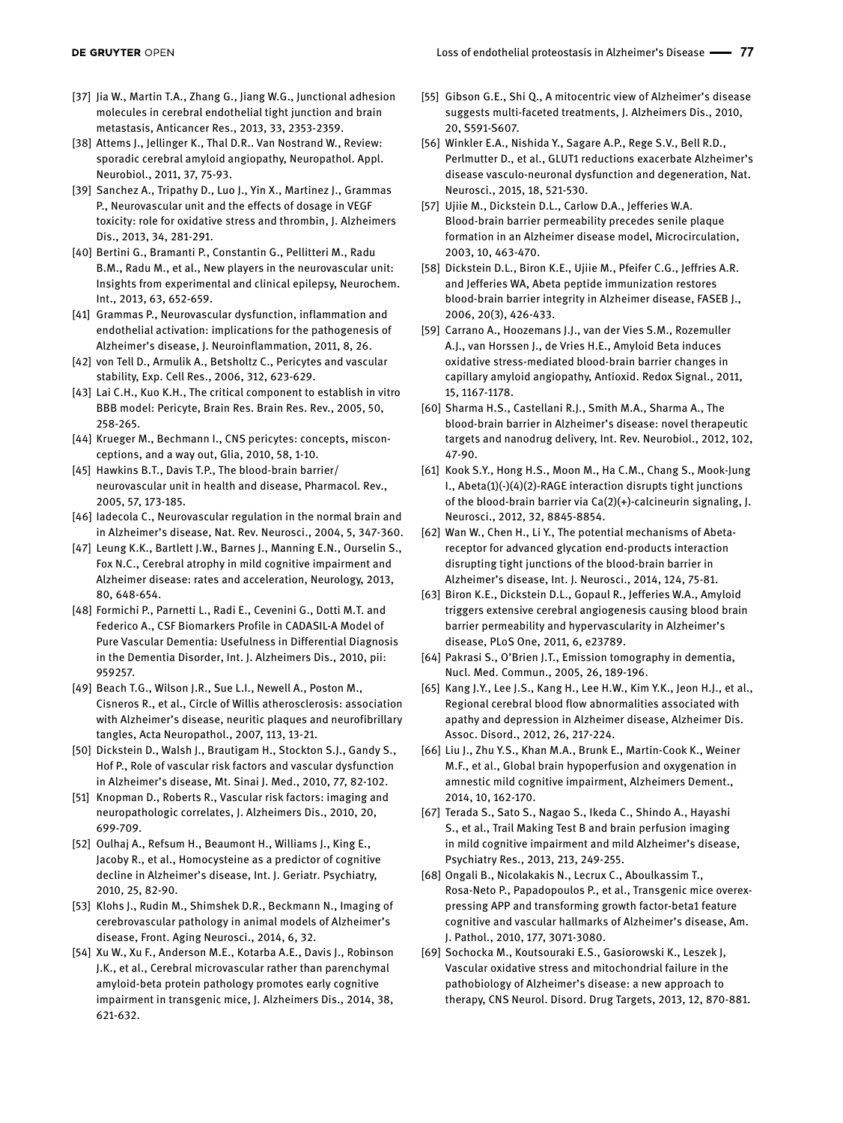- [37] Jia W., Martin T.A., Zhang G., Jiang W.G., Junctional adhesion molecules in cerebral endothelial tight junction and brain metastasis, Anticancer Res., 2013, 33, 2353-2359.
- [38] Attems J., Jellinger K., Thal D.R.. Van Nostrand W., Review: sporadic cerebral amyloid angiopathy, Neuropathol. Appl. Neurobiol., 2011, 37, 75-93.
- [39] Sanchez A., Tripathy D., Luo J., Yin X., Martinez J., Grammas P., Neurovascular unit and the effects of dosage in VEGF toxicity: role for oxidative stress and thrombin, J. Alzheimers Dis., 2013, 34, 281-291.
- [40] Bertini G., Bramanti P., Constantin G., Pellitteri M., Radu B.M., Radu M., et al., New players in the neurovascular unit: Insights from experimental and clinical epilepsy, Neurochem. Int., 2013, 63, 652-659.
- [41] Grammas P., Neurovascular dysfunction, inflammation and endothelial activation: implications for the pathogenesis of Alzheimer's disease, J. Neuroinflammation, 2011, 8, 26.
- [42] von Tell D., Armulik A., Betsholtz C., Pericytes and vascular stability, Exp. Cell Res., 2006, 312, 623-629.
- [43] Lai C.H., Kuo K.H., The critical component to establish in vitro BBB model: Pericyte, Brain Res. Brain Res. Rev., 2005, 50, 258-265.
- [44] Krueger M., Bechmann I., CNS pericytes: concepts, misconceptions, and a way out, Glia, 2010, 58, 1-10.
- [45] Hawkins B.T., Davis T.P., The blood-brain barrier/ neurovascular unit in health and disease, Pharmacol. Rev., 2005, 57, 173-185.
- [46] Iadecola C., Neurovascular regulation in the normal brain and in Alzheimer's disease, Nat. Rev. Neurosci., 2004, 5, 347-360.
- [47] Leung K.K., Bartlett J.W., Barnes J., Manning E.N., Ourselin S., Fox N.C., Cerebral atrophy in mild cognitive impairment and Alzheimer disease: rates and acceleration, Neurology, 2013, 80, 648-654.
- [48] Formichi P., Parnetti L., Radi E., Cevenini G., Dotti M.T. and Federico A., CSF Biomarkers Profile in CADASIL-A Model of Pure Vascular Dementia: Usefulness in Differential Diagnosis in the Dementia Disorder, Int. J. Alzheimers Dis., 2010, pii: 959257.
- [49] Beach T.G., Wilson J.R., Sue L.I., Newell A., Poston M., Cisneros R., et al., Circle of Willis atherosclerosis: association with Alzheimer's disease, neuritic plaques and neurofibrillary tangles, Acta Neuropathol., 2007, 113, 13-21.
- [50] Dickstein D., Walsh J., Brautigam H., Stockton S.J., Gandy S., Hof P., Role of vascular risk factors and vascular dysfunction in Alzheimer's disease, Mt. Sinai J. Med., 2010, 77, 82-102.
- [51] Knopman D., Roberts R., Vascular risk factors: imaging and neuropathologic correlates, J. Alzheimers Dis., 2010, 20, 699-709.
- [52] Oulhaj A., Refsum H., Beaumont H., Williams J., King E., Jacoby R., et al., Homocysteine as a predictor of cognitive decline in Alzheimer's disease, Int. J. Geriatr. Psychiatry, 2010, 25, 82-90.
- [53] Klohs J., Rudin M., Shimshek D.R., Beckmann N., Imaging of cerebrovascular pathology in animal models of Alzheimer's disease, Front. Aging Neurosci., 2014, 6, 32.
- [54] Xu W., Xu F., Anderson M.E., Kotarba A.E., Davis J., Robinson J.K., et al., Cerebral microvascular rather than parenchymal amyloid-beta protein pathology promotes early cognitive impairment in transgenic mice, J. Alzheimers Dis., 2014, 38, 621-632.
- [55] Gibson G.E., Shi Q., A mitocentric view of Alzheimer's disease suggests multi-faceted treatments, J. Alzheimers Dis., 2010, 20, S591-S607.
- [56] Winkler E.A., Nishida Y., Sagare A.P., Rege S.V., Bell R.D., Perlmutter D., et al., GLUT1 reductions exacerbate Alzheimer's disease vasculo-neuronal dysfunction and degeneration, Nat. Neurosci., 2015, 18, 521-530.
- [57] Ujiie M., Dickstein D.L., Carlow D.A., Jefferies W.A. Blood-brain barrier permeability precedes senile plaque formation in an Alzheimer disease model, Microcirculation, 2003, 10, 463-470.
- [58] Dickstein D.L., Biron K.E., Ujiie M., Pfeifer C.G., Jeffries A.R. and Jefferies WA, Abeta peptide immunization restores blood-brain barrier integrity in Alzheimer disease, FASEB J., 2006, 20(3), 426-433.
- [59] Carrano A., Hoozemans J.J., van der Vies S.M., Rozemuller A.J., van Horssen J., de Vries H.E., Amyloid Beta induces oxidative stress-mediated blood-brain barrier changes in capillary amyloid angiopathy, Antioxid. Redox Signal., 2011, 15, 1167-1178.
- [60] Sharma H.S., Castellani R.J., Smith M.A., Sharma A., The blood-brain barrier in Alzheimer's disease: novel therapeutic targets and nanodrug delivery, Int. Rev. Neurobiol., 2012, 102, 47-90.
- [61] Kook S.Y., Hong H.S., Moon M., Ha C.M., Chang S., Mook-Jung I., Abeta(1)(-)(4)(2)-RAGE interaction disrupts tight junctions of the blood-brain barrier via Ca(2)(+)-calcineurin signaling, J. Neurosci., 2012, 32, 8845-8854.
- [62] Wan W., Chen H., Li Y., The potential mechanisms of Abetareceptor for advanced glycation end-products interaction disrupting tight junctions of the blood-brain barrier in Alzheimer's disease, Int. J. Neurosci., 2014, 124, 75-81.
- [63] Biron K.E., Dickstein D.L., Gopaul R., Jefferies W.A., Amyloid triggers extensive cerebral angiogenesis causing blood brain barrier permeability and hypervascularity in Alzheimer's disease, PLoS One, 2011, 6, e23789.
- [64] Pakrasi S., O'Brien J.T., Emission tomography in dementia, Nucl. Med. Commun., 2005, 26, 189-196.
- [65] Kang J.Y., Lee J.S., Kang H., Lee H.W., Kim Y.K., Jeon H.J., et al., Regional cerebral blood flow abnormalities associated with apathy and depression in Alzheimer disease, Alzheimer Dis. Assoc. Disord., 2012, 26, 217-224.
- [66] Liu J., Zhu Y.S., Khan M.A., Brunk E., Martin-Cook K., Weiner M.F., et al., Global brain hypoperfusion and oxygenation in amnestic mild cognitive impairment, Alzheimers Dement., 2014, 10, 162-170.
- [67] Terada S., Sato S., Nagao S., Ikeda C., Shindo A., Hayashi S., et al., Trail Making Test B and brain perfusion imaging in mild cognitive impairment and mild Alzheimer's disease, Psychiatry Res., 2013, 213, 249-255.
- [68] Ongali B., Nicolakakis N., Lecrux C., Aboulkassim T., Rosa-Neto P., Papadopoulos P., et al., Transgenic mice overexpressing APP and transforming growth factor-beta1 feature cognitive and vascular hallmarks of Alzheimer's disease, Am. J. Pathol., 2010, 177, 3071-3080.
- [69] Sochocka M., Koutsouraki E.S., Gasiorowski K., Leszek J, Vascular oxidative stress and mitochondrial failure in the pathobiology of Alzheimer's disease: a new approach to therapy, CNS Neurol. Disord. Drug Targets, 2013, 12, 870-881.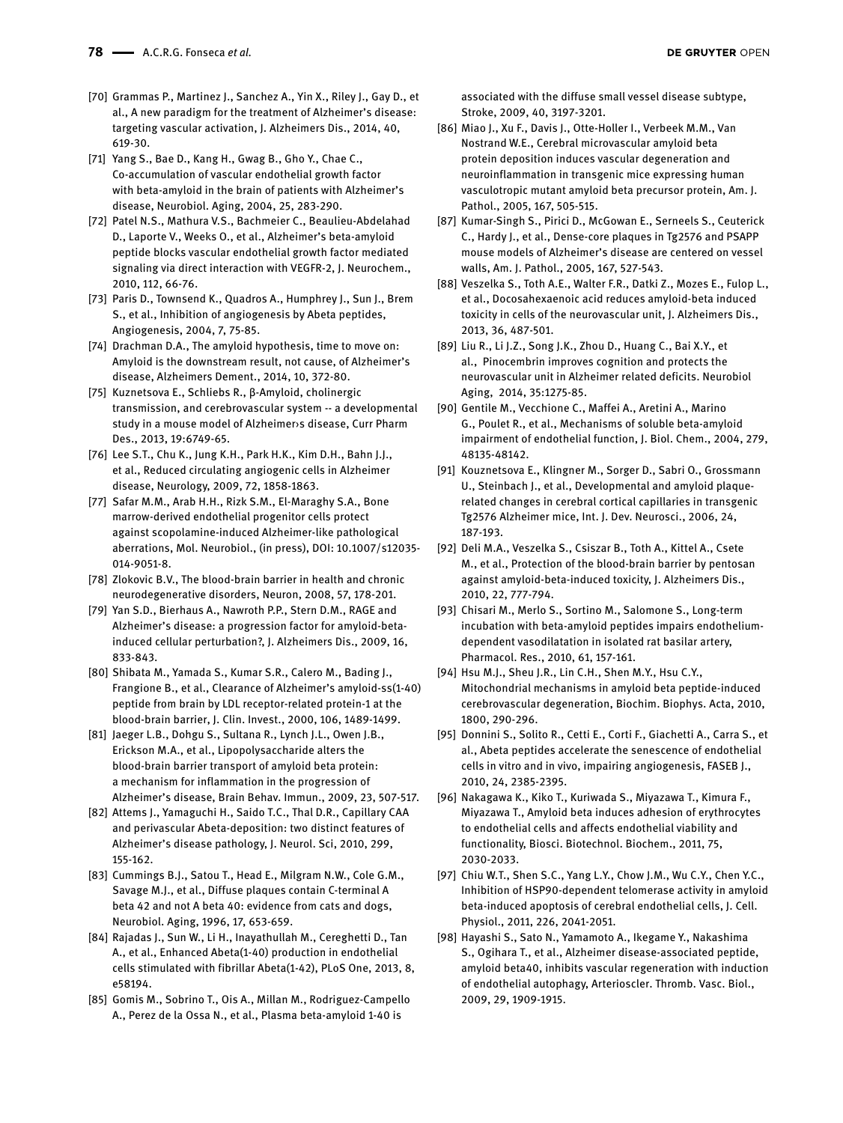- [70] Grammas P., Martinez J., Sanchez A., Yin X., Riley J., Gay D., et al., A new paradigm for the treatment of Alzheimer's disease: targeting vascular activation, J. Alzheimers Dis., 2014, 40, 619-30.
- [71] Yang S., Bae D., Kang H., Gwag B., Gho Y., Chae C., Co-accumulation of vascular endothelial growth factor with beta-amyloid in the brain of patients with Alzheimer's disease, Neurobiol. Aging, 2004, 25, 283-290.
- [72] Patel N.S., Mathura V.S., Bachmeier C., Beaulieu-Abdelahad D., Laporte V., Weeks O., et al., Alzheimer's beta-amyloid peptide blocks vascular endothelial growth factor mediated signaling via direct interaction with VEGFR-2, J. Neurochem., 2010, 112, 66-76.
- [73] Paris D., Townsend K., Quadros A., Humphrey J., Sun J., Brem S., et al., Inhibition of angiogenesis by Abeta peptides, Angiogenesis, 2004, 7, 75-85.
- [74] Drachman D.A., The amyloid hypothesis, time to move on: Amyloid is the downstream result, not cause, of Alzheimer's disease, Alzheimers Dement., 2014, 10, 372-80.
- [75] Kuznetsova E., Schliebs R., β-Amyloid, cholinergic transmission, and cerebrovascular system -- a developmental study in a mouse model of Alzheimer›s disease, Curr Pharm Des., 2013, 19:6749-65.
- [76] Lee S.T., Chu K., Jung K.H., Park H.K., Kim D.H., Bahn J.J., et al., Reduced circulating angiogenic cells in Alzheimer disease, Neurology, 2009, 72, 1858-1863.
- [77] Safar M.M., Arab H.H., Rizk S.M., El-Maraghy S.A., Bone marrow-derived endothelial progenitor cells protect against scopolamine-induced Alzheimer-like pathological aberrations, Mol. Neurobiol., (in press), DOI: 10.1007/s12035- 014-9051-8.
- [78] Zlokovic B.V., The blood-brain barrier in health and chronic neurodegenerative disorders, Neuron, 2008, 57, 178-201.
- [79] Yan S.D., Bierhaus A., Nawroth P.P., Stern D.M., RAGE and Alzheimer's disease: a progression factor for amyloid-betainduced cellular perturbation?, J. Alzheimers Dis., 2009, 16, 833-843.
- [80] Shibata M., Yamada S., Kumar S.R., Calero M., Bading J., Frangione B., et al., Clearance of Alzheimer's amyloid-ss(1-40) peptide from brain by LDL receptor-related protein-1 at the blood-brain barrier, J. Clin. Invest., 2000, 106, 1489-1499.
- [81] Jaeger L.B., Dohgu S., Sultana R., Lynch J.L., Owen J.B., Erickson M.A., et al., Lipopolysaccharide alters the blood-brain barrier transport of amyloid beta protein: a mechanism for inflammation in the progression of Alzheimer's disease, Brain Behav. Immun., 2009, 23, 507-517.
- [82] Attems J., Yamaguchi H., Saido T.C., Thal D.R., Capillary CAA and perivascular Abeta-deposition: two distinct features of Alzheimer's disease pathology, J. Neurol. Sci, 2010, 299, 155-162.
- [83] Cummings B.J., Satou T., Head E., Milgram N.W., Cole G.M., Savage M.J., et al., Diffuse plaques contain C-terminal A beta 42 and not A beta 40: evidence from cats and dogs, Neurobiol. Aging, 1996, 17, 653-659.
- [84] Rajadas J., Sun W., Li H., Inayathullah M., Cereghetti D., Tan A., et al., Enhanced Abeta(1-40) production in endothelial cells stimulated with fibrillar Abeta(1-42), PLoS One, 2013, 8, e58194.
- [85] Gomis M., Sobrino T., Ois A., Millan M., Rodriguez-Campello A., Perez de la Ossa N., et al., Plasma beta-amyloid 1-40 is

associated with the diffuse small vessel disease subtype, Stroke, 2009, 40, 3197-3201.

- [86] Miao J., Xu F., Davis J., Otte-Holler I., Verbeek M.M., Van Nostrand W.E., Cerebral microvascular amyloid beta protein deposition induces vascular degeneration and neuroinflammation in transgenic mice expressing human vasculotropic mutant amyloid beta precursor protein, Am. J. Pathol., 2005, 167, 505-515.
- [87] Kumar-Singh S., Pirici D., McGowan E., Serneels S., Ceuterick C., Hardy J., et al., Dense-core plaques in Tg2576 and PSAPP mouse models of Alzheimer's disease are centered on vessel walls, Am. J. Pathol., 2005, 167, 527-543.
- [88] Veszelka S., Toth A.E., Walter F.R., Datki Z., Mozes E., Fulop L., et al., Docosahexaenoic acid reduces amyloid-beta induced toxicity in cells of the neurovascular unit, J. Alzheimers Dis., 2013, 36, 487-501.
- [89] Liu R., Li J.Z., Song J.K., Zhou D., Huang C., Bai X.Y., et al., Pinocembrin improves cognition and protects the neurovascular unit in Alzheimer related deficits. Neurobiol Aging, 2014, 35:1275-85.
- [90] Gentile M., Vecchione C., Maffei A., Aretini A., Marino G., Poulet R., et al., Mechanisms of soluble beta-amyloid impairment of endothelial function, J. Biol. Chem., 2004, 279, 48135-48142.
- [91] Kouznetsova E., Klingner M., Sorger D., Sabri O., Grossmann U., Steinbach J., et al., Developmental and amyloid plaquerelated changes in cerebral cortical capillaries in transgenic Tg2576 Alzheimer mice, Int. J. Dev. Neurosci., 2006, 24, 187-193.
- [92] Deli M.A., Veszelka S., Csiszar B., Toth A., Kittel A., Csete M., et al., Protection of the blood-brain barrier by pentosan against amyloid-beta-induced toxicity, J. Alzheimers Dis., 2010, 22, 777-794.
- [93] Chisari M., Merlo S., Sortino M., Salomone S., Long-term incubation with beta-amyloid peptides impairs endotheliumdependent vasodilatation in isolated rat basilar artery, Pharmacol. Res., 2010, 61, 157-161.
- [94] Hsu M.J., Sheu J.R., Lin C.H., Shen M.Y., Hsu C.Y., Mitochondrial mechanisms in amyloid beta peptide-induced cerebrovascular degeneration, Biochim. Biophys. Acta, 2010, 1800, 290-296.
- [95] Donnini S., Solito R., Cetti E., Corti F., Giachetti A., Carra S., et al., Abeta peptides accelerate the senescence of endothelial cells in vitro and in vivo, impairing angiogenesis, FASEB J., 2010, 24, 2385-2395.
- [96] Nakagawa K., Kiko T., Kuriwada S., Miyazawa T., Kimura F., Miyazawa T., Amyloid beta induces adhesion of erythrocytes to endothelial cells and affects endothelial viability and functionality, Biosci. Biotechnol. Biochem., 2011, 75, 2030-2033.
- [97] Chiu W.T., Shen S.C., Yang L.Y., Chow J.M., Wu C.Y., Chen Y.C., Inhibition of HSP90-dependent telomerase activity in amyloid beta-induced apoptosis of cerebral endothelial cells, J. Cell. Physiol., 2011, 226, 2041-2051.
- [98] Hayashi S., Sato N., Yamamoto A., Ikegame Y., Nakashima S., Ogihara T., et al., Alzheimer disease-associated peptide, amyloid beta40, inhibits vascular regeneration with induction of endothelial autophagy, Arterioscler. Thromb. Vasc. Biol., 2009, 29, 1909-1915.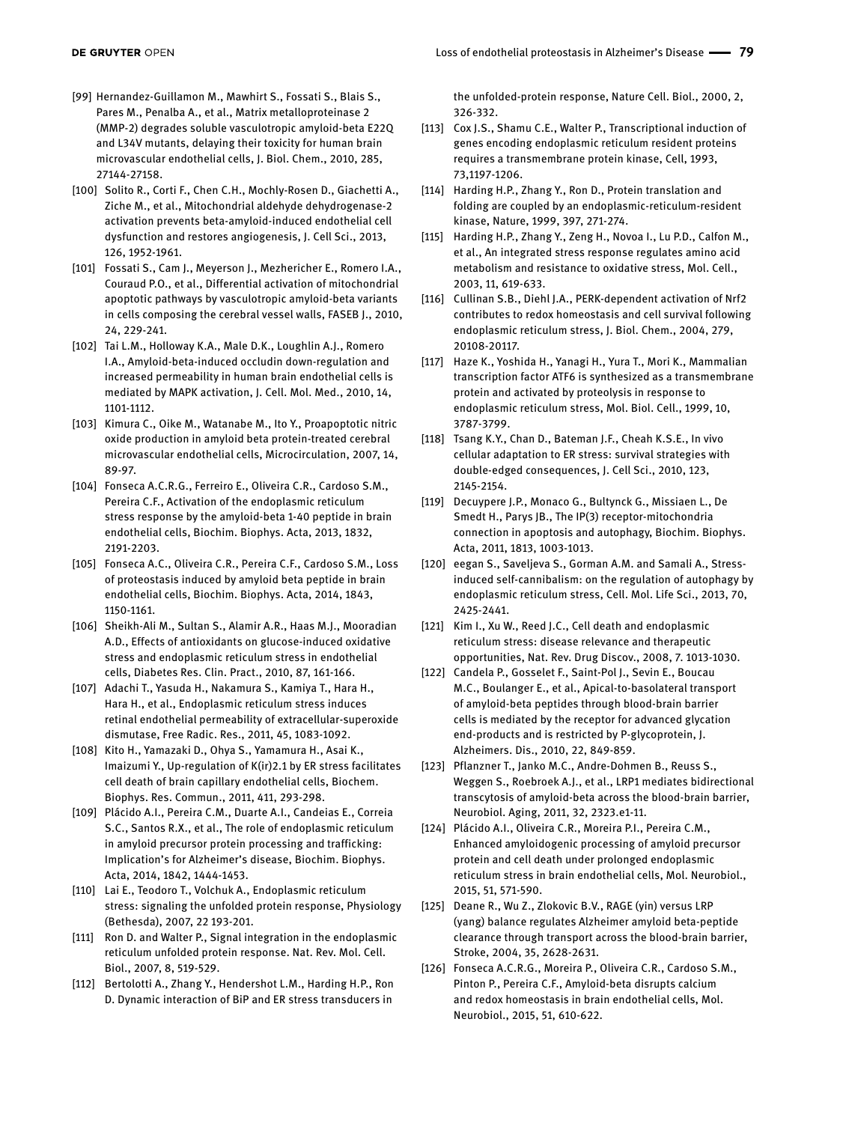- [99] Hernandez-Guillamon M., Mawhirt S., Fossati S., Blais S., Pares M., Penalba A., et al., Matrix metalloproteinase 2 (MMP-2) degrades soluble vasculotropic amyloid-beta E22Q and L34V mutants, delaying their toxicity for human brain microvascular endothelial cells, J. Biol. Chem., 2010, 285, 27144-27158.
- [100] Solito R., Corti F., Chen C.H., Mochly-Rosen D., Giachetti A., Ziche M., et al., Mitochondrial aldehyde dehydrogenase-2 activation prevents beta-amyloid-induced endothelial cell dysfunction and restores angiogenesis, J. Cell Sci., 2013, 126, 1952-1961.
- [101] Fossati S., Cam J., Meyerson J., Mezhericher E., Romero I.A., Couraud P.O., et al., Differential activation of mitochondrial apoptotic pathways by vasculotropic amyloid-beta variants in cells composing the cerebral vessel walls, FASEB J., 2010, 24, 229-241.
- [102] Tai L.M., Holloway K.A., Male D.K., Loughlin A.J., Romero I.A., Amyloid-beta-induced occludin down-regulation and increased permeability in human brain endothelial cells is mediated by MAPK activation, J. Cell. Mol. Med., 2010, 14, 1101-1112.
- [103] Kimura C., Oike M., Watanabe M., Ito Y., Proapoptotic nitric oxide production in amyloid beta protein-treated cerebral microvascular endothelial cells, Microcirculation, 2007, 14, 89-97.
- [104] Fonseca A.C.R.G., Ferreiro E., Oliveira C.R., Cardoso S.M., Pereira C.F., Activation of the endoplasmic reticulum stress response by the amyloid-beta 1-40 peptide in brain endothelial cells, Biochim. Biophys. Acta, 2013, 1832, 2191-2203.
- [105] Fonseca A.C., Oliveira C.R., Pereira C.F., Cardoso S.M., Loss of proteostasis induced by amyloid beta peptide in brain endothelial cells, Biochim. Biophys. Acta, 2014, 1843, 1150-1161.
- [106] Sheikh-Ali M., Sultan S., Alamir A.R., Haas M.J., Mooradian A.D., Effects of antioxidants on glucose-induced oxidative stress and endoplasmic reticulum stress in endothelial cells, Diabetes Res. Clin. Pract., 2010, 87, 161-166.
- [107] Adachi T., Yasuda H., Nakamura S., Kamiya T., Hara H., Hara H., et al., Endoplasmic reticulum stress induces retinal endothelial permeability of extracellular-superoxide dismutase, Free Radic. Res., 2011, 45, 1083-1092.
- [108] Kito H., Yamazaki D., Ohya S., Yamamura H., Asai K., Imaizumi Y., Up-regulation of K(ir)2.1 by ER stress facilitates cell death of brain capillary endothelial cells, Biochem. Biophys. Res. Commun., 2011, 411, 293-298.
- [109] Plácido A.I., Pereira C.M., Duarte A.I., Candeias E., Correia S.C., Santos R.X., et al., The role of endoplasmic reticulum in amyloid precursor protein processing and trafficking: Implication's for Alzheimer's disease, Biochim. Biophys. Acta, 2014, 1842, 1444-1453.
- [110] Lai E., Teodoro T., Volchuk A., Endoplasmic reticulum stress: signaling the unfolded protein response, Physiology (Bethesda), 2007, 22 193-201.
- [111] Ron D. and Walter P., Signal integration in the endoplasmic reticulum unfolded protein response. Nat. Rev. Mol. Cell. Biol., 2007, 8, 519-529.
- [112] Bertolotti A., Zhang Y., Hendershot L.M., Harding H.P., Ron D. Dynamic interaction of BiP and ER stress transducers in

the unfolded-protein response, Nature Cell. Biol., 2000, 2, 326-332.

- [113] Cox J.S., Shamu C.E., Walter P., Transcriptional induction of genes encoding endoplasmic reticulum resident proteins requires a transmembrane protein kinase, Cell, 1993, 73,1197-1206.
- [114] Harding H.P., Zhang Y., Ron D., Protein translation and folding are coupled by an endoplasmic-reticulum-resident kinase, Nature, 1999, 397, 271-274.
- [115] Harding H.P., Zhang Y., Zeng H., Novoa I., Lu P.D., Calfon M., et al., An integrated stress response regulates amino acid metabolism and resistance to oxidative stress, Mol. Cell., 2003, 11, 619-633.
- [116] Cullinan S.B., Diehl J.A., PERK-dependent activation of Nrf2 contributes to redox homeostasis and cell survival following endoplasmic reticulum stress, J. Biol. Chem., 2004, 279, 20108-20117.
- [117] Haze K., Yoshida H., Yanagi H., Yura T., Mori K., Mammalian transcription factor ATF6 is synthesized as a transmembrane protein and activated by proteolysis in response to endoplasmic reticulum stress, Mol. Biol. Cell., 1999, 10, 3787-3799.
- [118] Tsang K.Y., Chan D., Bateman J.F., Cheah K.S.E., In vivo cellular adaptation to ER stress: survival strategies with double-edged consequences, J. Cell Sci., 2010, 123, 2145-2154.
- [119] Decuypere J.P., Monaco G., Bultynck G., Missiaen L., De Smedt H., Parys JB., The IP(3) receptor-mitochondria connection in apoptosis and autophagy, Biochim. Biophys. Acta, 2011, 1813, 1003-1013.
- [120] eegan S., Saveljeva S., Gorman A.M. and Samali A., Stressinduced self-cannibalism: on the regulation of autophagy by endoplasmic reticulum stress, Cell. Mol. Life Sci., 2013, 70, 2425-2441.
- [121] Kim I., Xu W., Reed J.C., Cell death and endoplasmic reticulum stress: disease relevance and therapeutic opportunities, Nat. Rev. Drug Discov., 2008, 7. 1013-1030.
- [122] Candela P., Gosselet F., Saint-Pol J., Sevin E., Boucau M.C., Boulanger E., et al., Apical-to-basolateral transport of amyloid-beta peptides through blood-brain barrier cells is mediated by the receptor for advanced glycation end-products and is restricted by P-glycoprotein, J. Alzheimers. Dis., 2010, 22, 849-859.
- [123] Pflanzner T., Janko M.C., Andre-Dohmen B., Reuss S., Weggen S., Roebroek A.J., et al., LRP1 mediates bidirectional transcytosis of amyloid-beta across the blood-brain barrier, Neurobiol. Aging, 2011, 32, 2323.e1-11.
- [124] Plácido A.I., Oliveira C.R., Moreira P.I., Pereira C.M., Enhanced amyloidogenic processing of amyloid precursor protein and cell death under prolonged endoplasmic reticulum stress in brain endothelial cells, Mol. Neurobiol., 2015, 51, 571-590.
- [125] Deane R., Wu Z., Zlokovic B.V., RAGE (yin) versus LRP (yang) balance regulates Alzheimer amyloid beta-peptide clearance through transport across the blood-brain barrier, Stroke, 2004, 35, 2628-2631.
- [126] Fonseca A.C.R.G., Moreira P., Oliveira C.R., Cardoso S.M., Pinton P., Pereira C.F., Amyloid-beta disrupts calcium and redox homeostasis in brain endothelial cells, Mol. Neurobiol., 2015, 51, 610-622.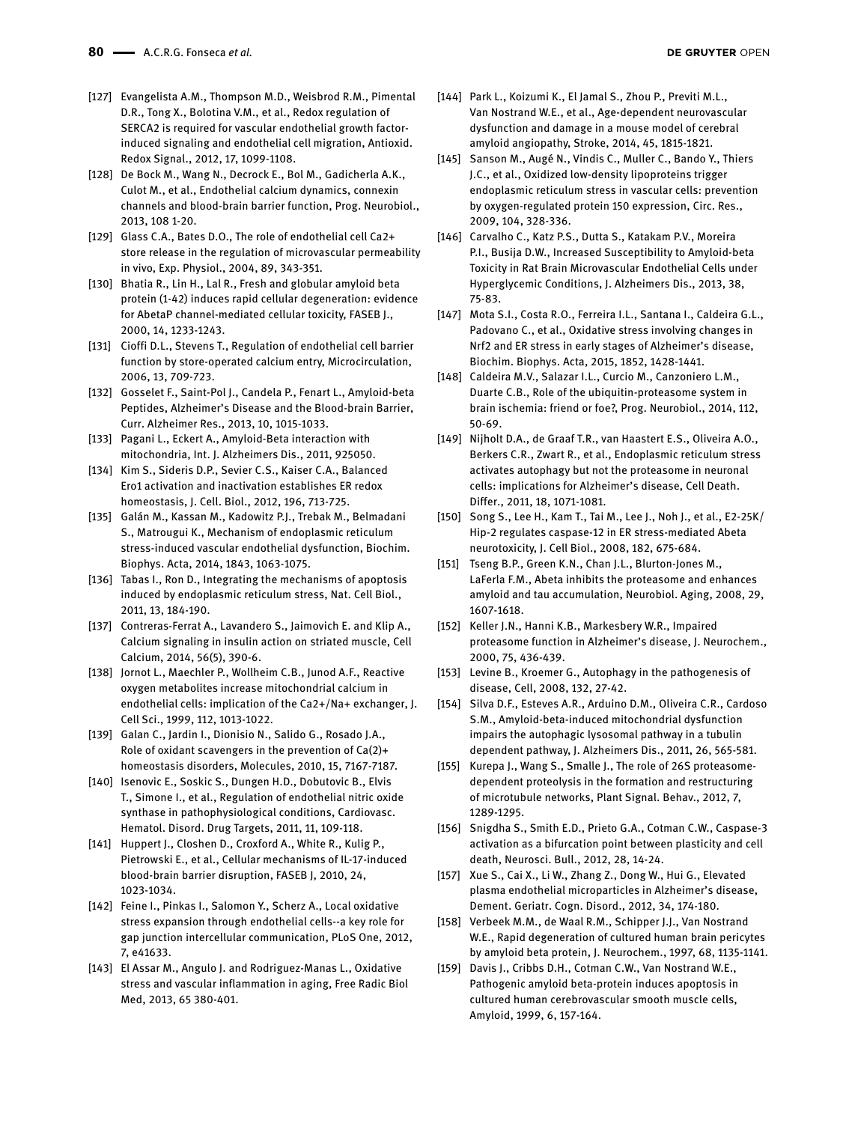- [127] Evangelista A.M., Thompson M.D., Weisbrod R.M., Pimental D.R., Tong X., Bolotina V.M., et al., Redox regulation of SERCA2 is required for vascular endothelial growth factorinduced signaling and endothelial cell migration, Antioxid. Redox Signal., 2012, 17, 1099-1108.
- [128] De Bock M., Wang N., Decrock E., Bol M., Gadicherla A.K., Culot M., et al., Endothelial calcium dynamics, connexin channels and blood-brain barrier function, Prog. Neurobiol., 2013, 108 1-20.
- [129] Glass C.A., Bates D.O., The role of endothelial cell Ca2+ store release in the regulation of microvascular permeability in vivo, Exp. Physiol., 2004, 89, 343-351.
- [130] Bhatia R., Lin H., Lal R., Fresh and globular amyloid beta protein (1-42) induces rapid cellular degeneration: evidence for AbetaP channel-mediated cellular toxicity, FASEB J., 2000, 14, 1233-1243.
- [131] Cioffi D.L., Stevens T., Regulation of endothelial cell barrier function by store-operated calcium entry, Microcirculation, 2006, 13, 709-723.
- [132] Gosselet F., Saint-Pol J., Candela P., Fenart L., Amyloid-beta Peptides, Alzheimer's Disease and the Blood-brain Barrier, Curr. Alzheimer Res., 2013, 10, 1015-1033.
- [133] Pagani L., Eckert A., Amyloid-Beta interaction with mitochondria, Int. J. Alzheimers Dis., 2011, 925050.
- [134] Kim S., Sideris D.P., Sevier C.S., Kaiser C.A., Balanced Ero1 activation and inactivation establishes ER redox homeostasis, J. Cell. Biol., 2012, 196, 713-725.
- [135] Galán M., Kassan M., Kadowitz P.J., Trebak M., Belmadani S., Matrougui K., Mechanism of endoplasmic reticulum stress-induced vascular endothelial dysfunction, Biochim. Biophys. Acta, 2014, 1843, 1063-1075.
- [136] Tabas I., Ron D., Integrating the mechanisms of apoptosis induced by endoplasmic reticulum stress, Nat. Cell Biol., 2011, 13, 184-190.
- [137] Contreras-Ferrat A., Lavandero S., Jaimovich E. and Klip A., Calcium signaling in insulin action on striated muscle, Cell Calcium, 2014, 56(5), 390-6.
- [138] Jornot L., Maechler P., Wollheim C.B., Junod A.F., Reactive oxygen metabolites increase mitochondrial calcium in endothelial cells: implication of the Ca2+/Na+ exchanger, J. Cell Sci., 1999, 112, 1013-1022.
- [139] Galan C., Jardin I., Dionisio N., Salido G., Rosado J.A., Role of oxidant scavengers in the prevention of Ca(2)+ homeostasis disorders, Molecules, 2010, 15, 7167-7187.
- [140] Isenovic E., Soskic S., Dungen H.D., Dobutovic B., Elvis T., Simone I., et al., Regulation of endothelial nitric oxide synthase in pathophysiological conditions, Cardiovasc. Hematol. Disord. Drug Targets, 2011, 11, 109-118.
- [141] Huppert J., Closhen D., Croxford A., White R., Kulig P., Pietrowski E., et al., Cellular mechanisms of IL-17-induced blood-brain barrier disruption, FASEB J, 2010, 24, 1023-1034.
- [142] Feine I., Pinkas I., Salomon Y., Scherz A., Local oxidative stress expansion through endothelial cells--a key role for gap junction intercellular communication, PLoS One, 2012, 7, e41633.
- [143] El Assar M., Angulo J. and Rodriguez-Manas L., Oxidative stress and vascular inflammation in aging, Free Radic Biol Med, 2013, 65 380-401.
- [144] Park L., Koizumi K., El Jamal S., Zhou P., Previti M.L., Van Nostrand W.E., et al., Age-dependent neurovascular dysfunction and damage in a mouse model of cerebral amyloid angiopathy, Stroke, 2014, 45, 1815-1821.
- [145] Sanson M., Augé N., Vindis C., Muller C., Bando Y., Thiers J.C., et al., Oxidized low-density lipoproteins trigger endoplasmic reticulum stress in vascular cells: prevention by oxygen-regulated protein 150 expression, Circ. Res., 2009, 104, 328-336.
- [146] Carvalho C., Katz P.S., Dutta S., Katakam P.V., Moreira P.I., Busija D.W., Increased Susceptibility to Amyloid-beta Toxicity in Rat Brain Microvascular Endothelial Cells under Hyperglycemic Conditions, J. Alzheimers Dis., 2013, 38, 75-83.
- [147] Mota S.I., Costa R.O., Ferreira I.L., Santana I., Caldeira G.L., Padovano C., et al., Oxidative stress involving changes in Nrf2 and ER stress in early stages of Alzheimer's disease, Biochim. Biophys. Acta, 2015, 1852, 1428-1441.
- [148] Caldeira M.V., Salazar I.L., Curcio M., Canzoniero L.M., Duarte C.B., Role of the ubiquitin-proteasome system in brain ischemia: friend or foe?, Prog. Neurobiol., 2014, 112, 50-69.
- [149] Nijholt D.A., de Graaf T.R., van Haastert E.S., Oliveira A.O., Berkers C.R., Zwart R., et al., Endoplasmic reticulum stress activates autophagy but not the proteasome in neuronal cells: implications for Alzheimer's disease, Cell Death. Differ., 2011, 18, 1071-1081.
- [150] Song S., Lee H., Kam T., Tai M., Lee J., Noh J., et al., E2-25K/ Hip-2 regulates caspase-12 in ER stress-mediated Abeta neurotoxicity, J. Cell Biol., 2008, 182, 675-684.
- [151] Tseng B.P., Green K.N., Chan J.L., Blurton-Jones M., LaFerla F.M., Abeta inhibits the proteasome and enhances amyloid and tau accumulation, Neurobiol. Aging, 2008, 29, 1607-1618.
- [152] Keller J.N., Hanni K.B., Markesbery W.R., Impaired proteasome function in Alzheimer's disease, J. Neurochem., 2000, 75, 436-439.
- [153] Levine B., Kroemer G., Autophagy in the pathogenesis of disease, Cell, 2008, 132, 27-42.
- [154] Silva D.F., Esteves A.R., Arduino D.M., Oliveira C.R., Cardoso S.M., Amyloid-beta-induced mitochondrial dysfunction impairs the autophagic lysosomal pathway in a tubulin dependent pathway, J. Alzheimers Dis., 2011, 26, 565-581.
- [155] Kurepa J., Wang S., Smalle J., The role of 26S proteasomedependent proteolysis in the formation and restructuring of microtubule networks, Plant Signal. Behav., 2012, 7, 1289-1295.
- [156] Snigdha S., Smith E.D., Prieto G.A., Cotman C.W., Caspase-3 activation as a bifurcation point between plasticity and cell death, Neurosci. Bull., 2012, 28, 14-24.
- [157] Xue S., Cai X., Li W., Zhang Z., Dong W., Hui G., Elevated plasma endothelial microparticles in Alzheimer's disease, Dement. Geriatr. Cogn. Disord., 2012, 34, 174-180.
- [158] Verbeek M.M., de Waal R.M., Schipper J.J., Van Nostrand W.E., Rapid degeneration of cultured human brain pericytes by amyloid beta protein, J. Neurochem., 1997, 68, 1135-1141.
- [159] Davis J., Cribbs D.H., Cotman C.W., Van Nostrand W.E., Pathogenic amyloid beta-protein induces apoptosis in cultured human cerebrovascular smooth muscle cells, Amyloid, 1999, 6, 157-164.